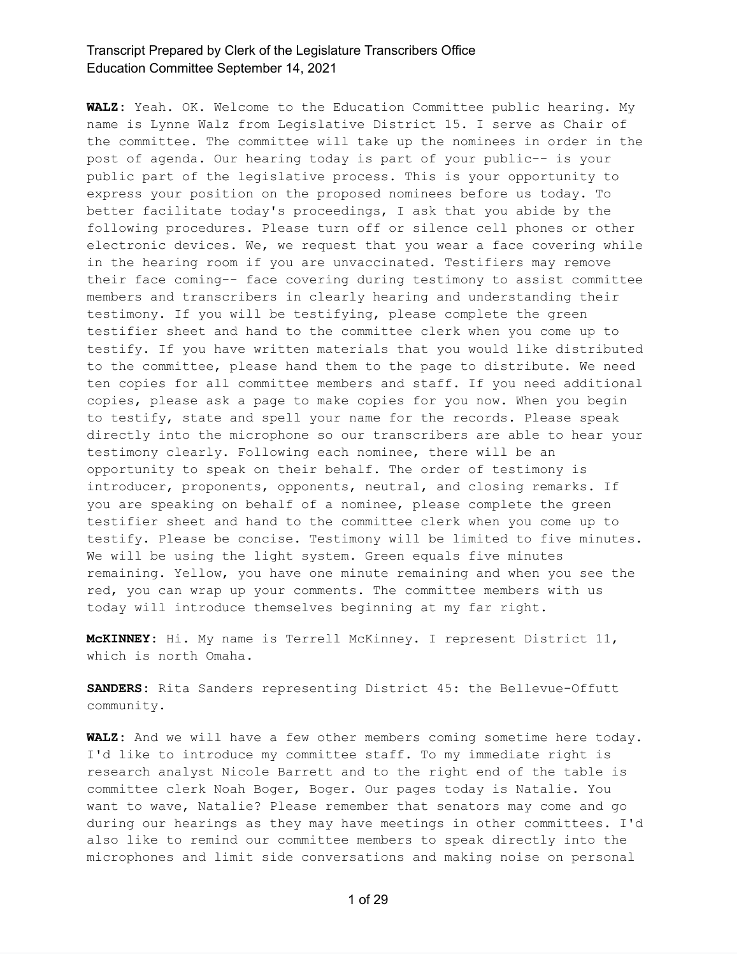**WALZ:** Yeah. OK. Welcome to the Education Committee public hearing. My name is Lynne Walz from Legislative District 15. I serve as Chair of the committee. The committee will take up the nominees in order in the post of agenda. Our hearing today is part of your public-- is your public part of the legislative process. This is your opportunity to express your position on the proposed nominees before us today. To better facilitate today's proceedings, I ask that you abide by the following procedures. Please turn off or silence cell phones or other electronic devices. We, we request that you wear a face covering while in the hearing room if you are unvaccinated. Testifiers may remove their face coming-- face covering during testimony to assist committee members and transcribers in clearly hearing and understanding their testimony. If you will be testifying, please complete the green testifier sheet and hand to the committee clerk when you come up to testify. If you have written materials that you would like distributed to the committee, please hand them to the page to distribute. We need ten copies for all committee members and staff. If you need additional copies, please ask a page to make copies for you now. When you begin to testify, state and spell your name for the records. Please speak directly into the microphone so our transcribers are able to hear your testimony clearly. Following each nominee, there will be an opportunity to speak on their behalf. The order of testimony is introducer, proponents, opponents, neutral, and closing remarks. If you are speaking on behalf of a nominee, please complete the green testifier sheet and hand to the committee clerk when you come up to testify. Please be concise. Testimony will be limited to five minutes. We will be using the light system. Green equals five minutes remaining. Yellow, you have one minute remaining and when you see the red, you can wrap up your comments. The committee members with us today will introduce themselves beginning at my far right.

**McKINNEY:** Hi. My name is Terrell McKinney. I represent District 11, which is north Omaha.

**SANDERS:** Rita Sanders representing District 45: the Bellevue-Offutt community.

**WALZ:** And we will have a few other members coming sometime here today. I'd like to introduce my committee staff. To my immediate right is research analyst Nicole Barrett and to the right end of the table is committee clerk Noah Boger, Boger. Our pages today is Natalie. You want to wave, Natalie? Please remember that senators may come and go during our hearings as they may have meetings in other committees. I'd also like to remind our committee members to speak directly into the microphones and limit side conversations and making noise on personal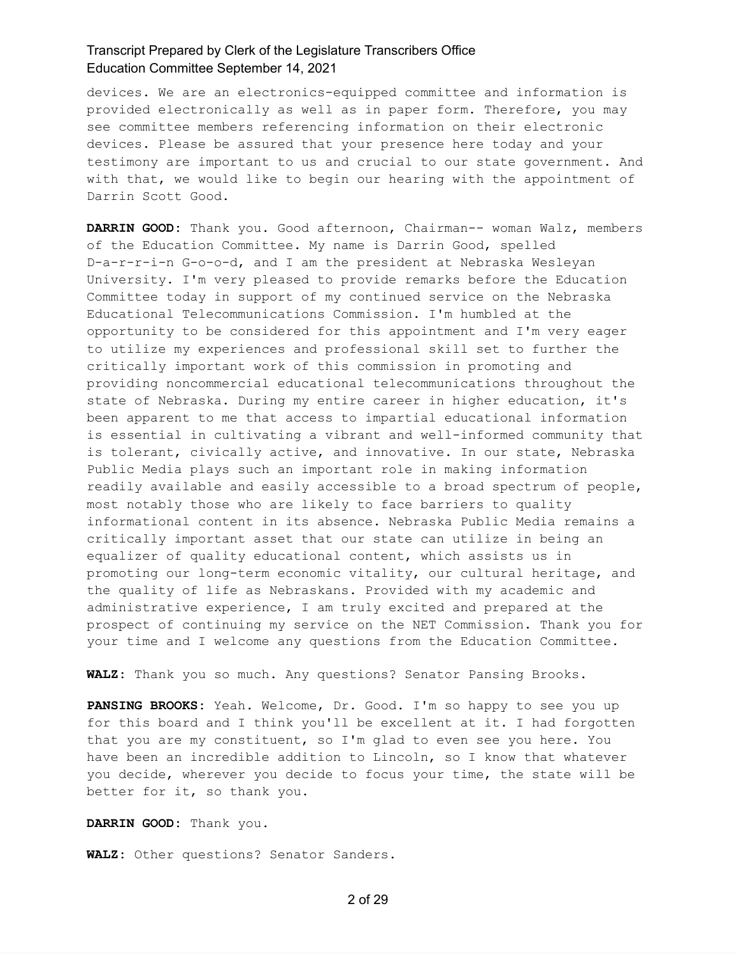devices. We are an electronics-equipped committee and information is provided electronically as well as in paper form. Therefore, you may see committee members referencing information on their electronic devices. Please be assured that your presence here today and your testimony are important to us and crucial to our state government. And with that, we would like to begin our hearing with the appointment of Darrin Scott Good.

**DARRIN GOOD:** Thank you. Good afternoon, Chairman-- woman Walz, members of the Education Committee. My name is Darrin Good, spelled D-a-r-r-i-n G-o-o-d, and I am the president at Nebraska Wesleyan University. I'm very pleased to provide remarks before the Education Committee today in support of my continued service on the Nebraska Educational Telecommunications Commission. I'm humbled at the opportunity to be considered for this appointment and I'm very eager to utilize my experiences and professional skill set to further the critically important work of this commission in promoting and providing noncommercial educational telecommunications throughout the state of Nebraska. During my entire career in higher education, it's been apparent to me that access to impartial educational information is essential in cultivating a vibrant and well-informed community that is tolerant, civically active, and innovative. In our state, Nebraska Public Media plays such an important role in making information readily available and easily accessible to a broad spectrum of people, most notably those who are likely to face barriers to quality informational content in its absence. Nebraska Public Media remains a critically important asset that our state can utilize in being an equalizer of quality educational content, which assists us in promoting our long-term economic vitality, our cultural heritage, and the quality of life as Nebraskans. Provided with my academic and administrative experience, I am truly excited and prepared at the prospect of continuing my service on the NET Commission. Thank you for your time and I welcome any questions from the Education Committee.

**WALZ:** Thank you so much. Any questions? Senator Pansing Brooks.

**PANSING BROOKS:** Yeah. Welcome, Dr. Good. I'm so happy to see you up for this board and I think you'll be excellent at it. I had forgotten that you are my constituent, so I'm glad to even see you here. You have been an incredible addition to Lincoln, so I know that whatever you decide, wherever you decide to focus your time, the state will be better for it, so thank you.

**DARRIN GOOD:** Thank you.

**WALZ:** Other questions? Senator Sanders.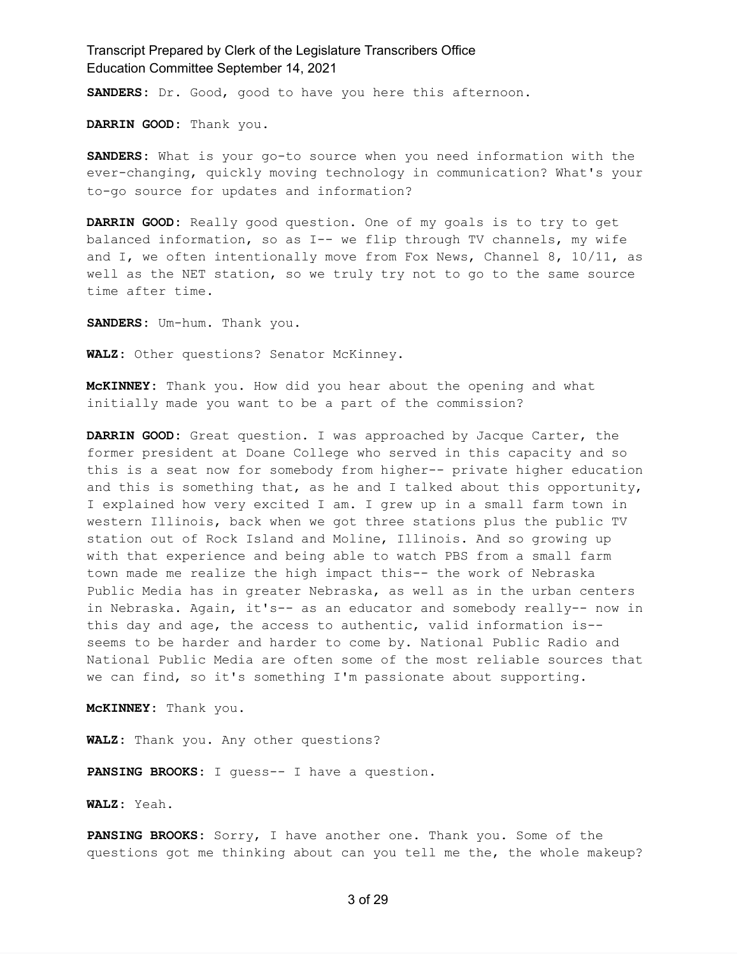**SANDERS:** Dr. Good, good to have you here this afternoon.

**DARRIN GOOD:** Thank you.

**SANDERS:** What is your go-to source when you need information with the ever-changing, quickly moving technology in communication? What's your to-go source for updates and information?

**DARRIN GOOD:** Really good question. One of my goals is to try to get balanced information, so as I-- we flip through TV channels, my wife and I, we often intentionally move from Fox News, Channel 8, 10/11, as well as the NET station, so we truly try not to go to the same source time after time.

**SANDERS:** Um-hum. Thank you.

**WALZ:** Other questions? Senator McKinney.

**McKINNEY:** Thank you. How did you hear about the opening and what initially made you want to be a part of the commission?

**DARRIN GOOD:** Great question. I was approached by Jacque Carter, the former president at Doane College who served in this capacity and so this is a seat now for somebody from higher-- private higher education and this is something that, as he and I talked about this opportunity, I explained how very excited I am. I grew up in a small farm town in western Illinois, back when we got three stations plus the public TV station out of Rock Island and Moline, Illinois. And so growing up with that experience and being able to watch PBS from a small farm town made me realize the high impact this-- the work of Nebraska Public Media has in greater Nebraska, as well as in the urban centers in Nebraska. Again, it's-- as an educator and somebody really-- now in this day and age, the access to authentic, valid information is- seems to be harder and harder to come by. National Public Radio and National Public Media are often some of the most reliable sources that we can find, so it's something I'm passionate about supporting.

**McKINNEY:** Thank you.

**WALZ:** Thank you. Any other questions?

**PANSING BROOKS:** I guess-- I have a question.

**WALZ:** Yeah.

**PANSING BROOKS:** Sorry, I have another one. Thank you. Some of the questions got me thinking about can you tell me the, the whole makeup?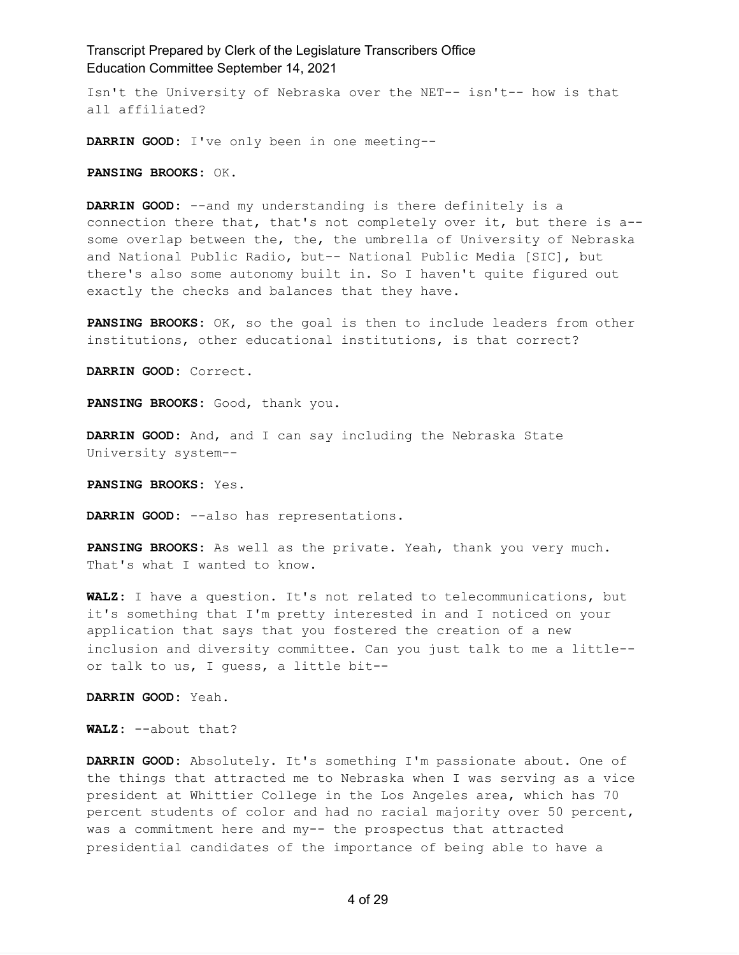Isn't the University of Nebraska over the NET-- isn't-- how is that all affiliated?

**DARRIN GOOD:** I've only been in one meeting--

**PANSING BROOKS:** OK.

**DARRIN GOOD:** --and my understanding is there definitely is a connection there that, that's not completely over it, but there is a- some overlap between the, the, the umbrella of University of Nebraska and National Public Radio, but-- National Public Media [SIC], but there's also some autonomy built in. So I haven't quite figured out exactly the checks and balances that they have.

**PANSING BROOKS:** OK, so the goal is then to include leaders from other institutions, other educational institutions, is that correct?

**DARRIN GOOD:** Correct.

**PANSING BROOKS:** Good, thank you.

**DARRIN GOOD:** And, and I can say including the Nebraska State University system--

**PANSING BROOKS:** Yes.

**DARRIN GOOD:** --also has representations.

**PANSING BROOKS:** As well as the private. Yeah, thank you very much. That's what I wanted to know.

**WALZ:** I have a question. It's not related to telecommunications, but it's something that I'm pretty interested in and I noticed on your application that says that you fostered the creation of a new inclusion and diversity committee. Can you just talk to me a little- or talk to us, I guess, a little bit--

**DARRIN GOOD:** Yeah.

**WALZ:** --about that?

**DARRIN GOOD:** Absolutely. It's something I'm passionate about. One of the things that attracted me to Nebraska when I was serving as a vice president at Whittier College in the Los Angeles area, which has 70 percent students of color and had no racial majority over 50 percent, was a commitment here and my-- the prospectus that attracted presidential candidates of the importance of being able to have a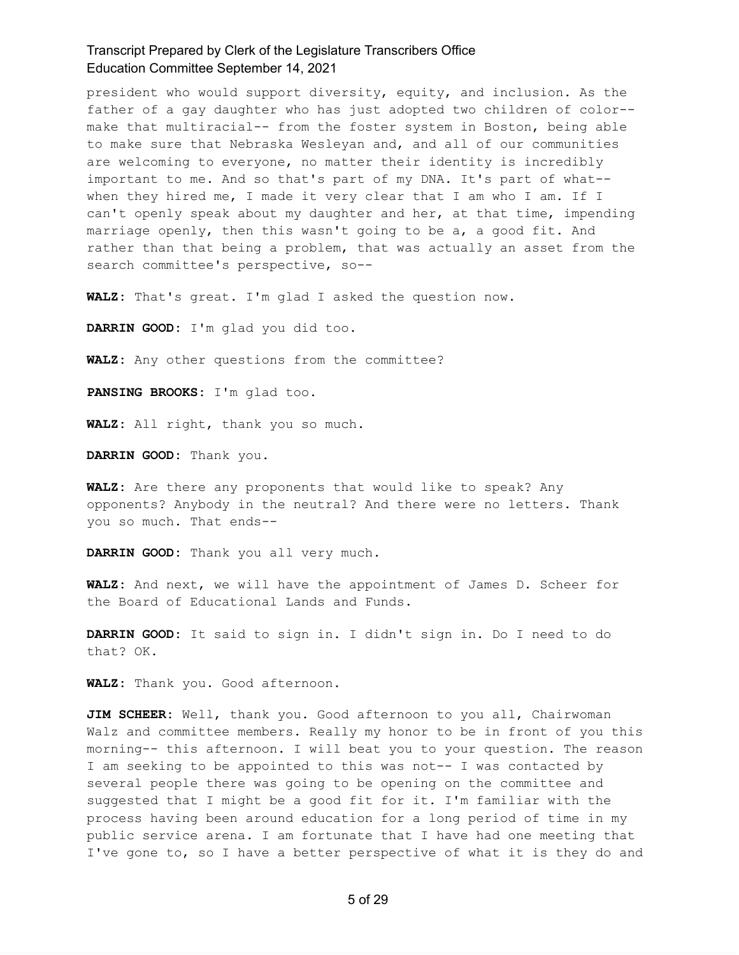president who would support diversity, equity, and inclusion. As the father of a gay daughter who has just adopted two children of color- make that multiracial-- from the foster system in Boston, being able to make sure that Nebraska Wesleyan and, and all of our communities are welcoming to everyone, no matter their identity is incredibly important to me. And so that's part of my DNA. It's part of what- when they hired me, I made it very clear that I am who I am. If I can't openly speak about my daughter and her, at that time, impending marriage openly, then this wasn't going to be a, a good fit. And rather than that being a problem, that was actually an asset from the search committee's perspective, so--

**WALZ:** That's great. I'm glad I asked the question now.

**DARRIN GOOD:** I'm glad you did too.

**WALZ:** Any other questions from the committee?

**PANSING BROOKS:** I'm glad too.

**WALZ:** All right, thank you so much.

**DARRIN GOOD:** Thank you.

**WALZ:** Are there any proponents that would like to speak? Any opponents? Anybody in the neutral? And there were no letters. Thank you so much. That ends--

**DARRIN GOOD:** Thank you all very much.

**WALZ:** And next, we will have the appointment of James D. Scheer for the Board of Educational Lands and Funds.

**DARRIN GOOD:** It said to sign in. I didn't sign in. Do I need to do that? OK.

**WALZ:** Thank you. Good afternoon.

**JIM SCHEER:** Well, thank you. Good afternoon to you all, Chairwoman Walz and committee members. Really my honor to be in front of you this morning-- this afternoon. I will beat you to your question. The reason I am seeking to be appointed to this was not-- I was contacted by several people there was going to be opening on the committee and suggested that I might be a good fit for it. I'm familiar with the process having been around education for a long period of time in my public service arena. I am fortunate that I have had one meeting that I've gone to, so I have a better perspective of what it is they do and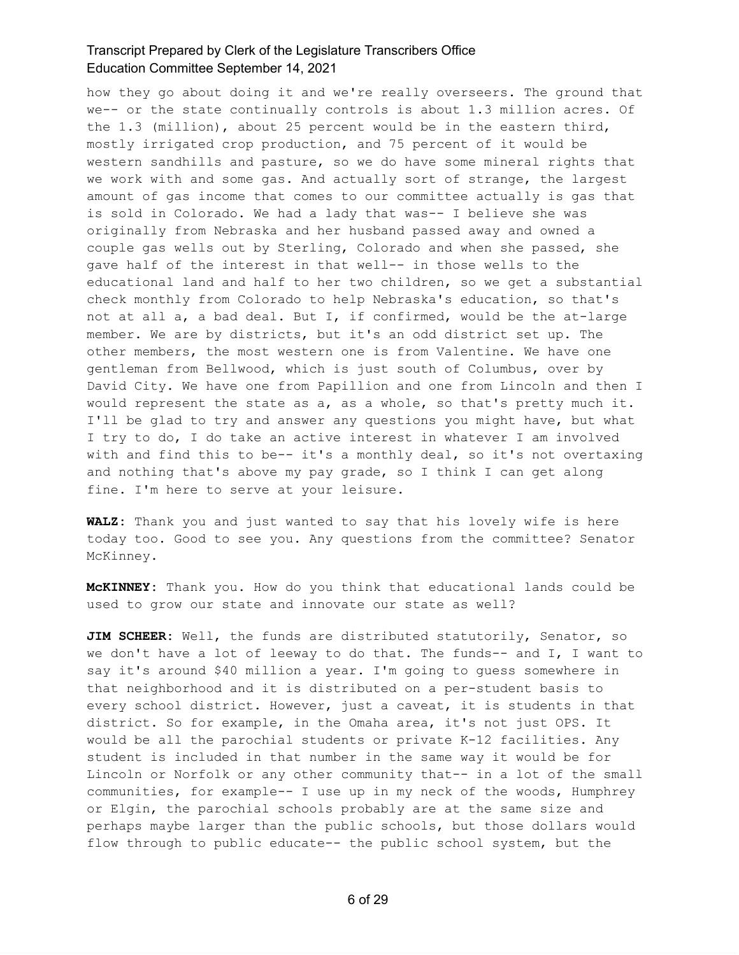how they go about doing it and we're really overseers. The ground that we-- or the state continually controls is about 1.3 million acres. Of the 1.3 (million), about 25 percent would be in the eastern third, mostly irrigated crop production, and 75 percent of it would be western sandhills and pasture, so we do have some mineral rights that we work with and some gas. And actually sort of strange, the largest amount of gas income that comes to our committee actually is gas that is sold in Colorado. We had a lady that was-- I believe she was originally from Nebraska and her husband passed away and owned a couple gas wells out by Sterling, Colorado and when she passed, she gave half of the interest in that well-- in those wells to the educational land and half to her two children, so we get a substantial check monthly from Colorado to help Nebraska's education, so that's not at all a, a bad deal. But I, if confirmed, would be the at-large member. We are by districts, but it's an odd district set up. The other members, the most western one is from Valentine. We have one gentleman from Bellwood, which is just south of Columbus, over by David City. We have one from Papillion and one from Lincoln and then I would represent the state as a, as a whole, so that's pretty much it. I'll be glad to try and answer any questions you might have, but what I try to do, I do take an active interest in whatever I am involved with and find this to be-- it's a monthly deal, so it's not overtaxing and nothing that's above my pay grade, so I think I can get along fine. I'm here to serve at your leisure.

**WALZ:** Thank you and just wanted to say that his lovely wife is here today too. Good to see you. Any questions from the committee? Senator McKinney.

**McKINNEY:** Thank you. How do you think that educational lands could be used to grow our state and innovate our state as well?

**JIM SCHEER:** Well, the funds are distributed statutorily, Senator, so we don't have a lot of leeway to do that. The funds-- and I, I want to say it's around \$40 million a year. I'm going to guess somewhere in that neighborhood and it is distributed on a per-student basis to every school district. However, just a caveat, it is students in that district. So for example, in the Omaha area, it's not just OPS. It would be all the parochial students or private K-12 facilities. Any student is included in that number in the same way it would be for Lincoln or Norfolk or any other community that-- in a lot of the small communities, for example-- I use up in my neck of the woods, Humphrey or Elgin, the parochial schools probably are at the same size and perhaps maybe larger than the public schools, but those dollars would flow through to public educate-- the public school system, but the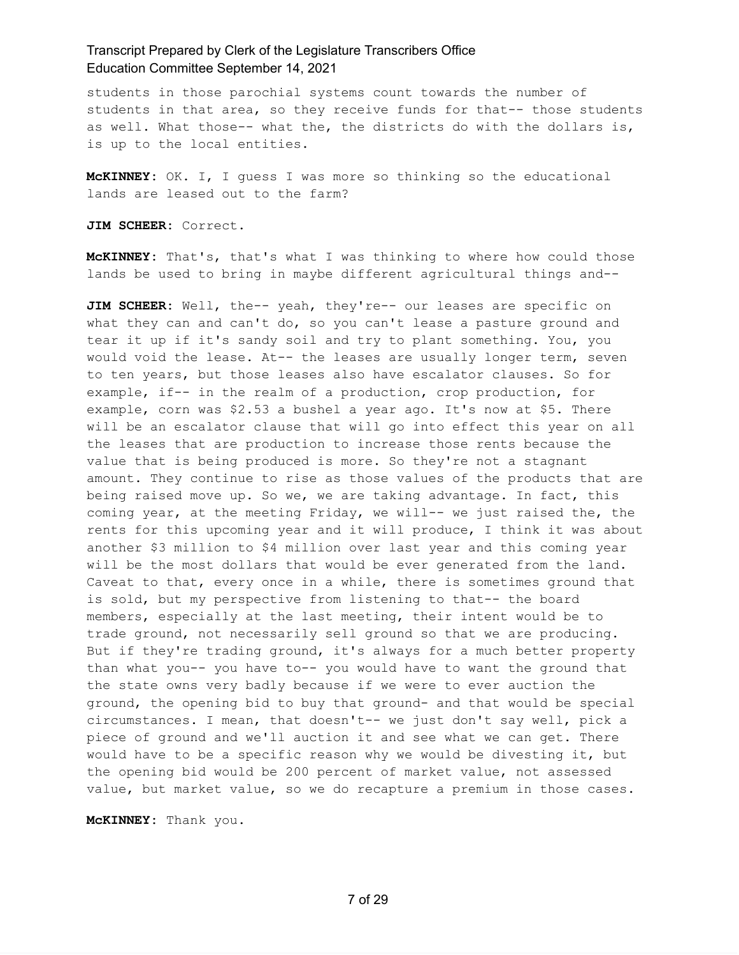students in those parochial systems count towards the number of students in that area, so they receive funds for that-- those students as well. What those-- what the, the districts do with the dollars is, is up to the local entities.

**McKINNEY:** OK. I, I guess I was more so thinking so the educational lands are leased out to the farm?

**JIM SCHEER:** Correct.

**McKINNEY:** That's, that's what I was thinking to where how could those lands be used to bring in maybe different agricultural things and--

**JIM SCHEER:** Well, the-- yeah, they're-- our leases are specific on what they can and can't do, so you can't lease a pasture ground and tear it up if it's sandy soil and try to plant something. You, you would void the lease. At-- the leases are usually longer term, seven to ten years, but those leases also have escalator clauses. So for example, if-- in the realm of a production, crop production, for example, corn was \$2.53 a bushel a year ago. It's now at \$5. There will be an escalator clause that will go into effect this year on all the leases that are production to increase those rents because the value that is being produced is more. So they're not a stagnant amount. They continue to rise as those values of the products that are being raised move up. So we, we are taking advantage. In fact, this coming year, at the meeting Friday, we will-- we just raised the, the rents for this upcoming year and it will produce, I think it was about another \$3 million to \$4 million over last year and this coming year will be the most dollars that would be ever generated from the land. Caveat to that, every once in a while, there is sometimes ground that is sold, but my perspective from listening to that-- the board members, especially at the last meeting, their intent would be to trade ground, not necessarily sell ground so that we are producing. But if they're trading ground, it's always for a much better property than what you-- you have to-- you would have to want the ground that the state owns very badly because if we were to ever auction the ground, the opening bid to buy that ground- and that would be special circumstances. I mean, that doesn't-- we just don't say well, pick a piece of ground and we'll auction it and see what we can get. There would have to be a specific reason why we would be divesting it, but the opening bid would be 200 percent of market value, not assessed value, but market value, so we do recapture a premium in those cases.

**McKINNEY:** Thank you.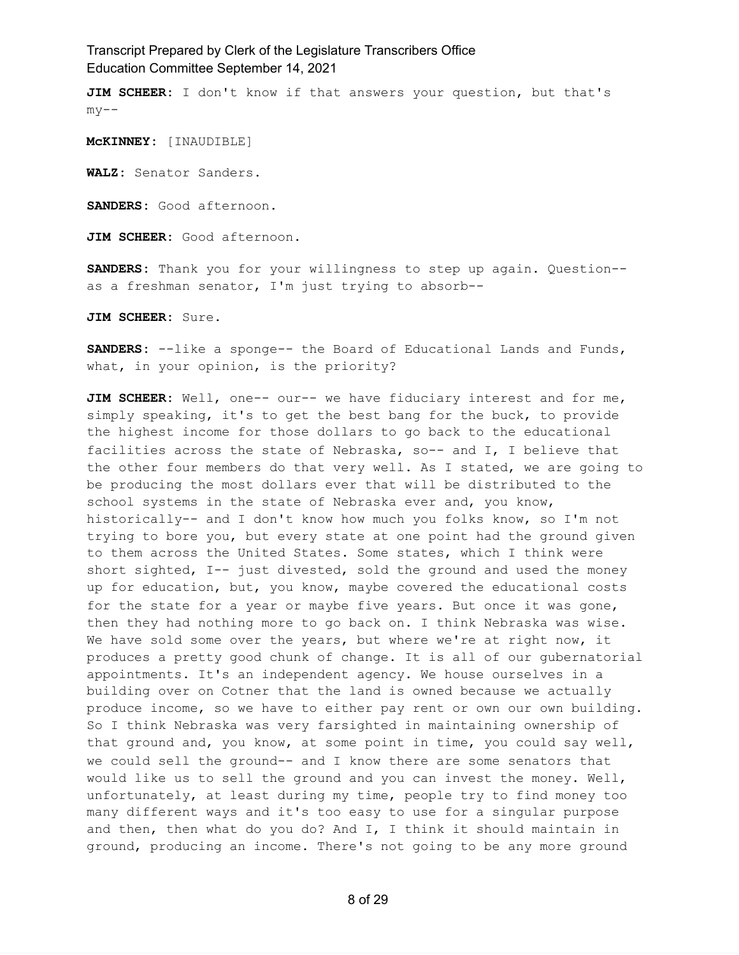**JIM SCHEER:** I don't know if that answers your question, but that's  $my--$ 

**McKINNEY:** [INAUDIBLE]

**WALZ:** Senator Sanders.

**SANDERS:** Good afternoon.

**JIM SCHEER:** Good afternoon.

**SANDERS:** Thank you for your willingness to step up again. Question- as a freshman senator, I'm just trying to absorb--

**JIM SCHEER:** Sure.

**SANDERS:** --like a sponge-- the Board of Educational Lands and Funds, what, in your opinion, is the priority?

**JIM SCHEER:** Well, one-- our-- we have fiduciary interest and for me, simply speaking, it's to get the best bang for the buck, to provide the highest income for those dollars to go back to the educational facilities across the state of Nebraska, so-- and I, I believe that the other four members do that very well. As I stated, we are going to be producing the most dollars ever that will be distributed to the school systems in the state of Nebraska ever and, you know, historically-- and I don't know how much you folks know, so I'm not trying to bore you, but every state at one point had the ground given to them across the United States. Some states, which I think were short sighted, I-- just divested, sold the ground and used the money up for education, but, you know, maybe covered the educational costs for the state for a year or maybe five years. But once it was gone, then they had nothing more to go back on. I think Nebraska was wise. We have sold some over the years, but where we're at right now, it produces a pretty good chunk of change. It is all of our gubernatorial appointments. It's an independent agency. We house ourselves in a building over on Cotner that the land is owned because we actually produce income, so we have to either pay rent or own our own building. So I think Nebraska was very farsighted in maintaining ownership of that ground and, you know, at some point in time, you could say well, we could sell the ground-- and I know there are some senators that would like us to sell the ground and you can invest the money. Well, unfortunately, at least during my time, people try to find money too many different ways and it's too easy to use for a singular purpose and then, then what do you do? And I, I think it should maintain in ground, producing an income. There's not going to be any more ground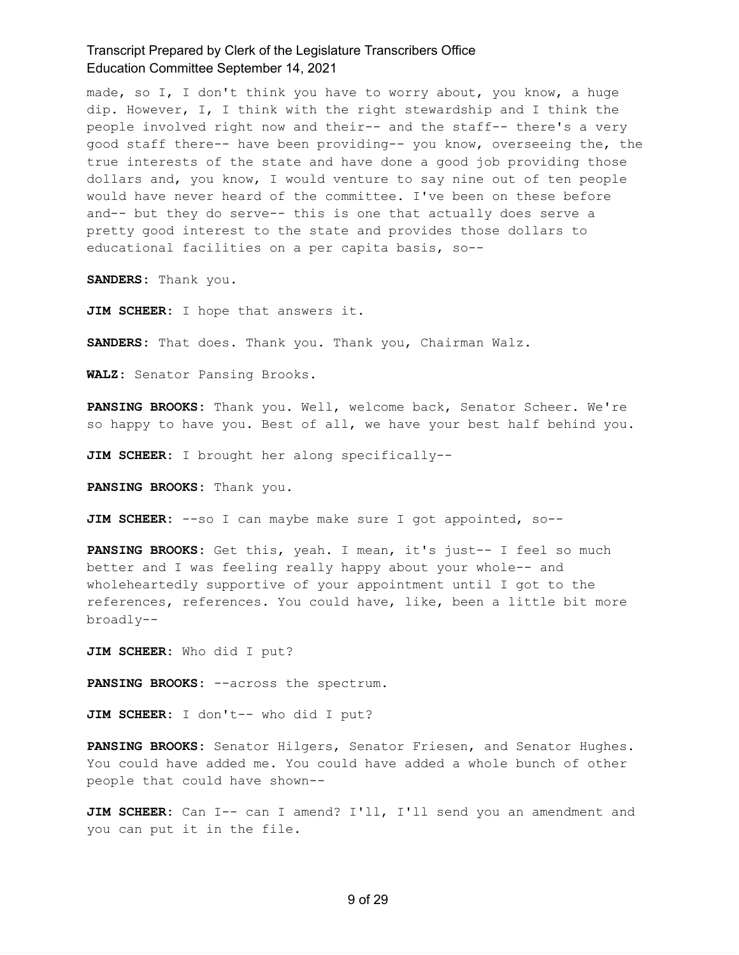made, so I, I don't think you have to worry about, you know, a huge dip. However, I, I think with the right stewardship and I think the people involved right now and their-- and the staff-- there's a very good staff there-- have been providing-- you know, overseeing the, the true interests of the state and have done a good job providing those dollars and, you know, I would venture to say nine out of ten people would have never heard of the committee. I've been on these before and-- but they do serve-- this is one that actually does serve a pretty good interest to the state and provides those dollars to educational facilities on a per capita basis, so--

**SANDERS:** Thank you.

**JIM SCHEER:** I hope that answers it.

**SANDERS:** That does. Thank you. Thank you, Chairman Walz.

**WALZ:** Senator Pansing Brooks.

**PANSING BROOKS:** Thank you. Well, welcome back, Senator Scheer. We're so happy to have you. Best of all, we have your best half behind you.

**JIM SCHEER:** I brought her along specifically--

**PANSING BROOKS:** Thank you.

**JIM SCHEER:** --so I can maybe make sure I got appointed, so--

**PANSING BROOKS:** Get this, yeah. I mean, it's just-- I feel so much better and I was feeling really happy about your whole-- and wholeheartedly supportive of your appointment until I got to the references, references. You could have, like, been a little bit more broadly--

**JIM SCHEER:** Who did I put?

**PANSING BROOKS:** --across the spectrum.

**JIM SCHEER:** I don't-- who did I put?

**PANSING BROOKS:** Senator Hilgers, Senator Friesen, and Senator Hughes. You could have added me. You could have added a whole bunch of other people that could have shown--

**JIM SCHEER:** Can I-- can I amend? I'll, I'll send you an amendment and you can put it in the file.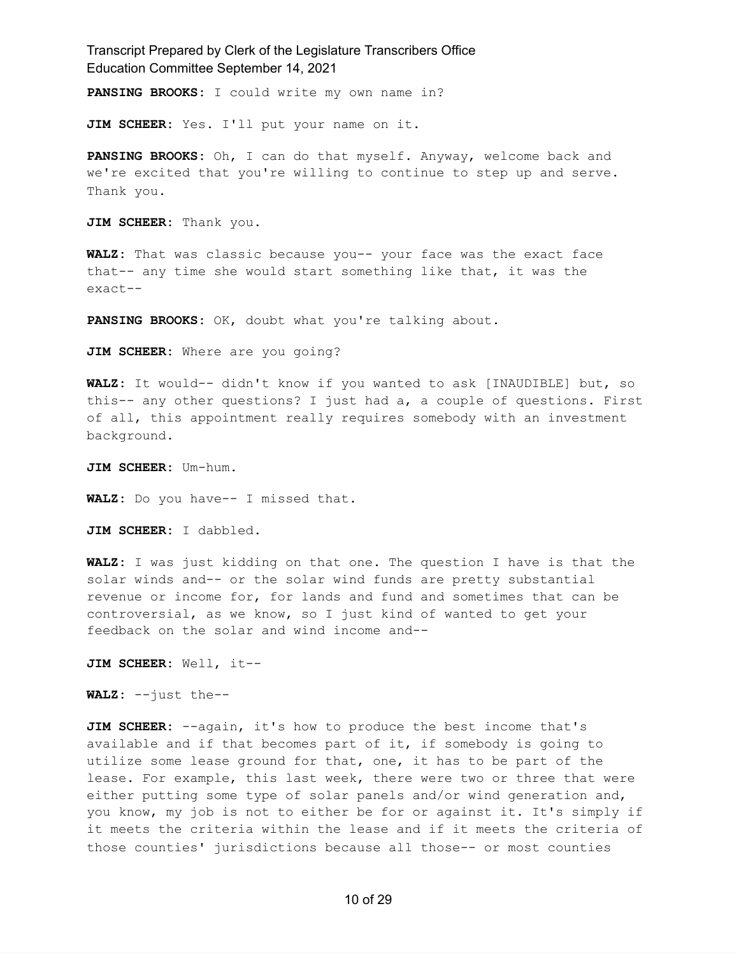**PANSING BROOKS:** I could write my own name in?

**JIM SCHEER:** Yes. I'll put your name on it.

**PANSING BROOKS:** Oh, I can do that myself. Anyway, welcome back and we're excited that you're willing to continue to step up and serve. Thank you.

**JIM SCHEER:** Thank you.

**WALZ:** That was classic because you-- your face was the exact face that-- any time she would start something like that, it was the exact--

**PANSING BROOKS:** OK, doubt what you're talking about.

**JIM SCHEER:** Where are you going?

**WALZ:** It would-- didn't know if you wanted to ask [INAUDIBLE] but, so this-- any other questions? I just had a, a couple of questions. First of all, this appointment really requires somebody with an investment background.

**JIM SCHEER:** Um-hum.

**WALZ:** Do you have-- I missed that.

**JIM SCHEER:** I dabbled.

**WALZ:** I was just kidding on that one. The question I have is that the solar winds and-- or the solar wind funds are pretty substantial revenue or income for, for lands and fund and sometimes that can be controversial, as we know, so I just kind of wanted to get your feedback on the solar and wind income and--

**JIM SCHEER:** Well, it--

**WALZ:** --just the--

**JIM SCHEER:** --again, it's how to produce the best income that's available and if that becomes part of it, if somebody is going to utilize some lease ground for that, one, it has to be part of the lease. For example, this last week, there were two or three that were either putting some type of solar panels and/or wind generation and, you know, my job is not to either be for or against it. It's simply if it meets the criteria within the lease and if it meets the criteria of those counties' jurisdictions because all those-- or most counties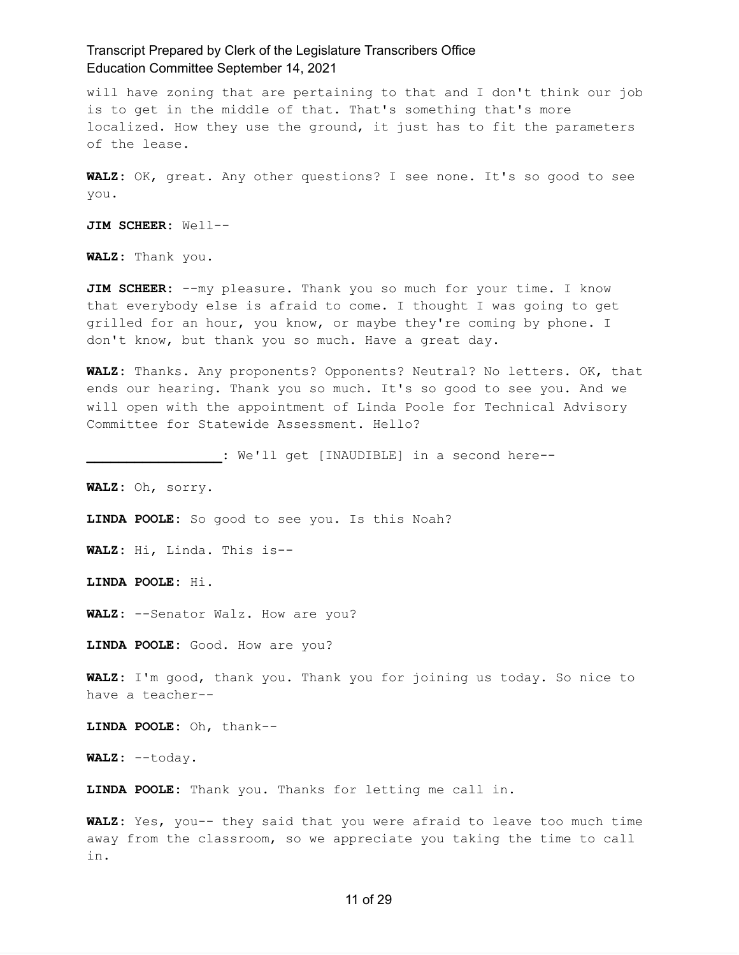will have zoning that are pertaining to that and I don't think our job is to get in the middle of that. That's something that's more localized. How they use the ground, it just has to fit the parameters of the lease.

**WALZ:** OK, great. Any other questions? I see none. It's so good to see you.

**JIM SCHEER:** Well--

**WALZ:** Thank you.

**JIM SCHEER:** --my pleasure. Thank you so much for your time. I know that everybody else is afraid to come. I thought I was going to get grilled for an hour, you know, or maybe they're coming by phone. I don't know, but thank you so much. Have a great day.

**WALZ:** Thanks. Any proponents? Opponents? Neutral? No letters. OK, that ends our hearing. Thank you so much. It's so good to see you. And we will open with the appointment of Linda Poole for Technical Advisory Committee for Statewide Assessment. Hello?

**\_\_\_\_\_\_\_\_\_\_\_\_\_\_\_\_\_:** We'll get [INAUDIBLE] in a second here--

**WALZ:** Oh, sorry.

**LINDA POOLE:** So good to see you. Is this Noah?

**WALZ:** Hi, Linda. This is--

**LINDA POOLE:** Hi.

**WALZ:** --Senator Walz. How are you?

**LINDA POOLE:** Good. How are you?

**WALZ:** I'm good, thank you. Thank you for joining us today. So nice to have a teacher--

**LINDA POOLE:** Oh, thank--

**WALZ:** --today.

**LINDA POOLE:** Thank you. Thanks for letting me call in.

**WALZ:** Yes, you-- they said that you were afraid to leave too much time away from the classroom, so we appreciate you taking the time to call in.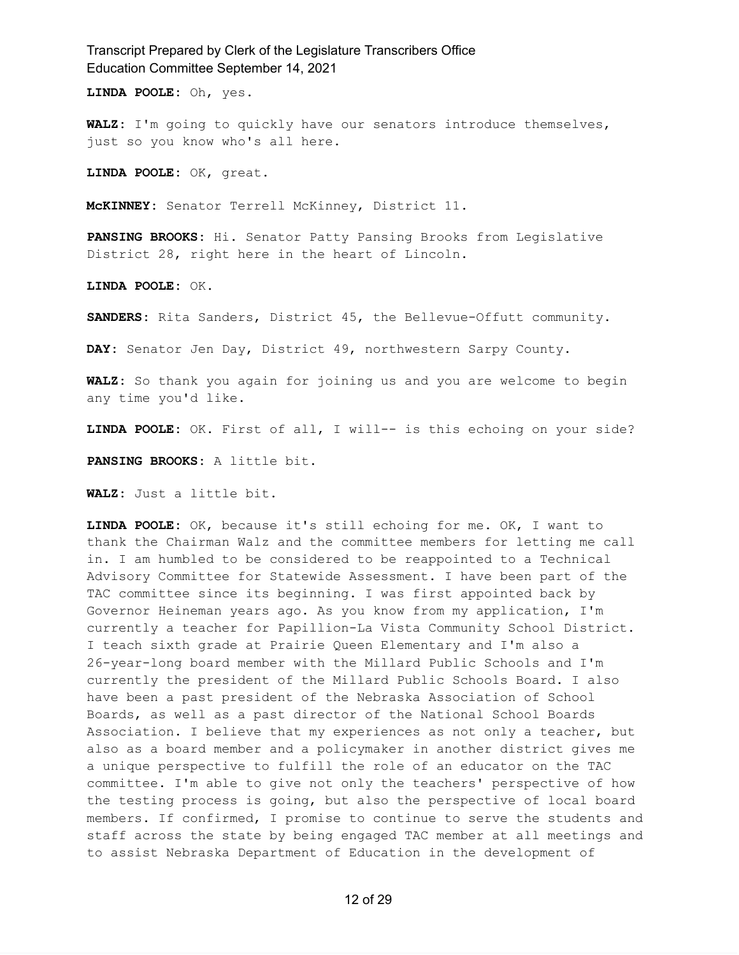**LINDA POOLE:** Oh, yes.

**WALZ:** I'm going to quickly have our senators introduce themselves, just so you know who's all here.

**LINDA POOLE:** OK, great.

**McKINNEY:** Senator Terrell McKinney, District 11.

**PANSING BROOKS:** Hi. Senator Patty Pansing Brooks from Legislative District 28, right here in the heart of Lincoln.

**LINDA POOLE:** OK.

**SANDERS:** Rita Sanders, District 45, the Bellevue-Offutt community.

**DAY:** Senator Jen Day, District 49, northwestern Sarpy County.

**WALZ:** So thank you again for joining us and you are welcome to begin any time you'd like.

**LINDA POOLE:** OK. First of all, I will-- is this echoing on your side?

**PANSING BROOKS:** A little bit.

**WALZ:** Just a little bit.

**LINDA POOLE:** OK, because it's still echoing for me. OK, I want to thank the Chairman Walz and the committee members for letting me call in. I am humbled to be considered to be reappointed to a Technical Advisory Committee for Statewide Assessment. I have been part of the TAC committee since its beginning. I was first appointed back by Governor Heineman years ago. As you know from my application, I'm currently a teacher for Papillion-La Vista Community School District. I teach sixth grade at Prairie Queen Elementary and I'm also a 26-year-long board member with the Millard Public Schools and I'm currently the president of the Millard Public Schools Board. I also have been a past president of the Nebraska Association of School Boards, as well as a past director of the National School Boards Association. I believe that my experiences as not only a teacher, but also as a board member and a policymaker in another district gives me a unique perspective to fulfill the role of an educator on the TAC committee. I'm able to give not only the teachers' perspective of how the testing process is going, but also the perspective of local board members. If confirmed, I promise to continue to serve the students and staff across the state by being engaged TAC member at all meetings and to assist Nebraska Department of Education in the development of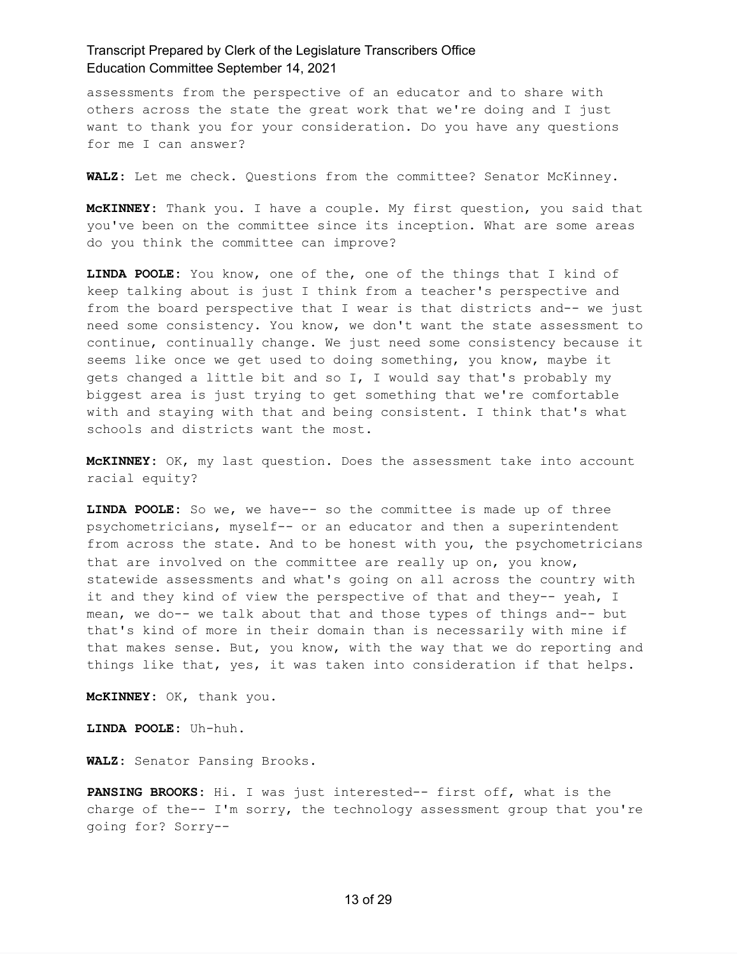assessments from the perspective of an educator and to share with others across the state the great work that we're doing and I just want to thank you for your consideration. Do you have any questions for me I can answer?

**WALZ:** Let me check. Questions from the committee? Senator McKinney.

**McKINNEY:** Thank you. I have a couple. My first question, you said that you've been on the committee since its inception. What are some areas do you think the committee can improve?

**LINDA POOLE:** You know, one of the, one of the things that I kind of keep talking about is just I think from a teacher's perspective and from the board perspective that I wear is that districts and-- we just need some consistency. You know, we don't want the state assessment to continue, continually change. We just need some consistency because it seems like once we get used to doing something, you know, maybe it gets changed a little bit and so I, I would say that's probably my biggest area is just trying to get something that we're comfortable with and staying with that and being consistent. I think that's what schools and districts want the most.

**McKINNEY:** OK, my last question. Does the assessment take into account racial equity?

**LINDA POOLE:** So we, we have-- so the committee is made up of three psychometricians, myself-- or an educator and then a superintendent from across the state. And to be honest with you, the psychometricians that are involved on the committee are really up on, you know, statewide assessments and what's going on all across the country with it and they kind of view the perspective of that and they-- yeah, I mean, we do-- we talk about that and those types of things and-- but that's kind of more in their domain than is necessarily with mine if that makes sense. But, you know, with the way that we do reporting and things like that, yes, it was taken into consideration if that helps.

**McKINNEY:** OK, thank you.

**LINDA POOLE:** Uh-huh.

**WALZ:** Senator Pansing Brooks.

**PANSING BROOKS:** Hi. I was just interested-- first off, what is the charge of the-- I'm sorry, the technology assessment group that you're going for? Sorry--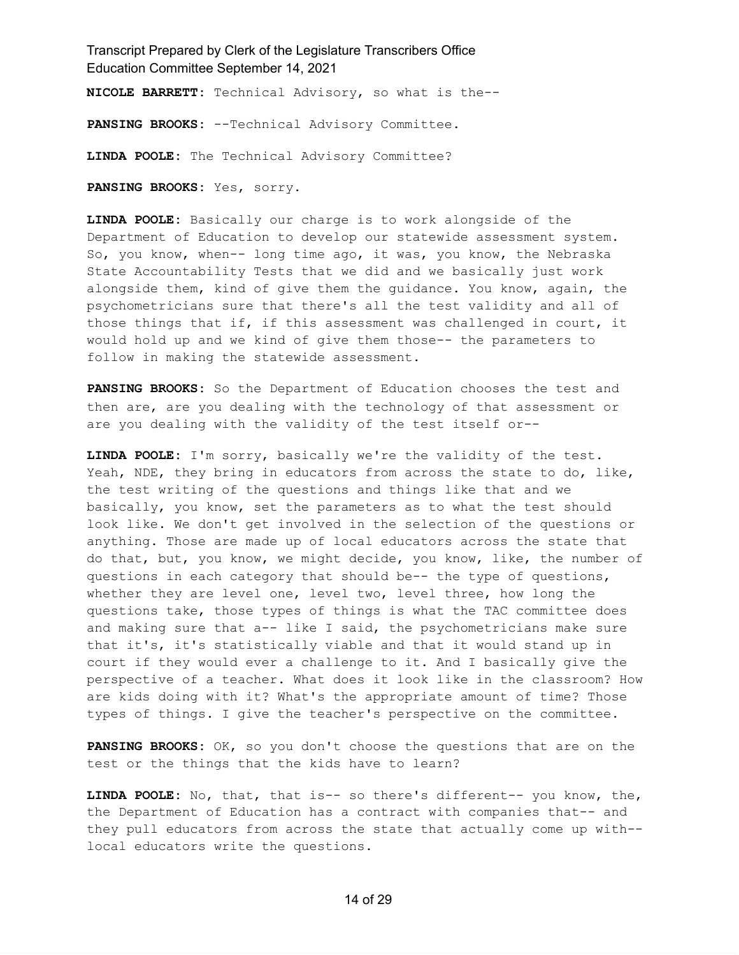**NICOLE BARRETT:** Technical Advisory, so what is the--

**PANSING BROOKS:** --Technical Advisory Committee.

**LINDA POOLE:** The Technical Advisory Committee?

**PANSING BROOKS:** Yes, sorry.

**LINDA POOLE:** Basically our charge is to work alongside of the Department of Education to develop our statewide assessment system. So, you know, when-- long time ago, it was, you know, the Nebraska State Accountability Tests that we did and we basically just work alongside them, kind of give them the guidance. You know, again, the psychometricians sure that there's all the test validity and all of those things that if, if this assessment was challenged in court, it would hold up and we kind of give them those-- the parameters to follow in making the statewide assessment.

**PANSING BROOKS:** So the Department of Education chooses the test and then are, are you dealing with the technology of that assessment or are you dealing with the validity of the test itself or--

**LINDA POOLE:** I'm sorry, basically we're the validity of the test. Yeah, NDE, they bring in educators from across the state to do, like, the test writing of the questions and things like that and we basically, you know, set the parameters as to what the test should look like. We don't get involved in the selection of the questions or anything. Those are made up of local educators across the state that do that, but, you know, we might decide, you know, like, the number of questions in each category that should be-- the type of questions, whether they are level one, level two, level three, how long the questions take, those types of things is what the TAC committee does and making sure that a-- like I said, the psychometricians make sure that it's, it's statistically viable and that it would stand up in court if they would ever a challenge to it. And I basically give the perspective of a teacher. What does it look like in the classroom? How are kids doing with it? What's the appropriate amount of time? Those types of things. I give the teacher's perspective on the committee.

**PANSING BROOKS:** OK, so you don't choose the questions that are on the test or the things that the kids have to learn?

**LINDA POOLE:** No, that, that is-- so there's different-- you know, the, the Department of Education has a contract with companies that-- and they pull educators from across the state that actually come up with- local educators write the questions.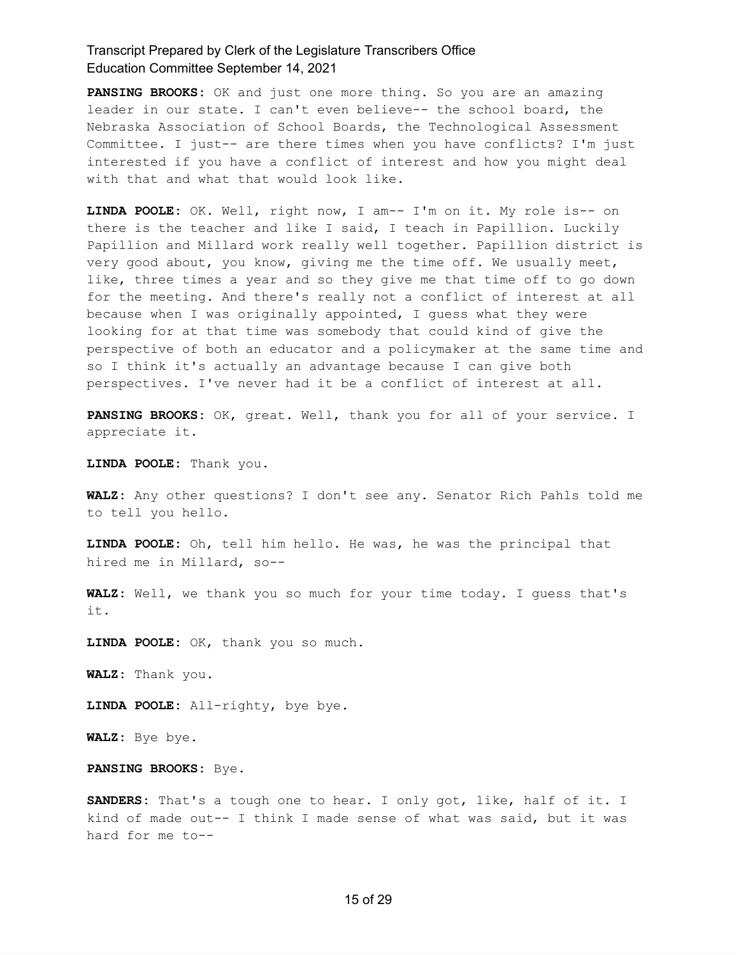**PANSING BROOKS:** OK and just one more thing. So you are an amazing leader in our state. I can't even believe-- the school board, the Nebraska Association of School Boards, the Technological Assessment Committee. I just-- are there times when you have conflicts? I'm just interested if you have a conflict of interest and how you might deal with that and what that would look like.

**LINDA POOLE:** OK. Well, right now, I am-- I'm on it. My role is-- on there is the teacher and like I said, I teach in Papillion. Luckily Papillion and Millard work really well together. Papillion district is very good about, you know, giving me the time off. We usually meet, like, three times a year and so they give me that time off to go down for the meeting. And there's really not a conflict of interest at all because when I was originally appointed, I guess what they were looking for at that time was somebody that could kind of give the perspective of both an educator and a policymaker at the same time and so I think it's actually an advantage because I can give both perspectives. I've never had it be a conflict of interest at all.

**PANSING BROOKS:** OK, great. Well, thank you for all of your service. I appreciate it.

**LINDA POOLE:** Thank you.

**WALZ:** Any other questions? I don't see any. Senator Rich Pahls told me to tell you hello.

**LINDA POOLE:** Oh, tell him hello. He was, he was the principal that hired me in Millard, so--

**WALZ:** Well, we thank you so much for your time today. I guess that's it.

**LINDA POOLE:** OK, thank you so much.

**WALZ:** Thank you.

**LINDA POOLE:** All-righty, bye bye.

**WALZ:** Bye bye.

**PANSING BROOKS:** Bye.

**SANDERS:** That's a tough one to hear. I only got, like, half of it. I kind of made out-- I think I made sense of what was said, but it was hard for me to--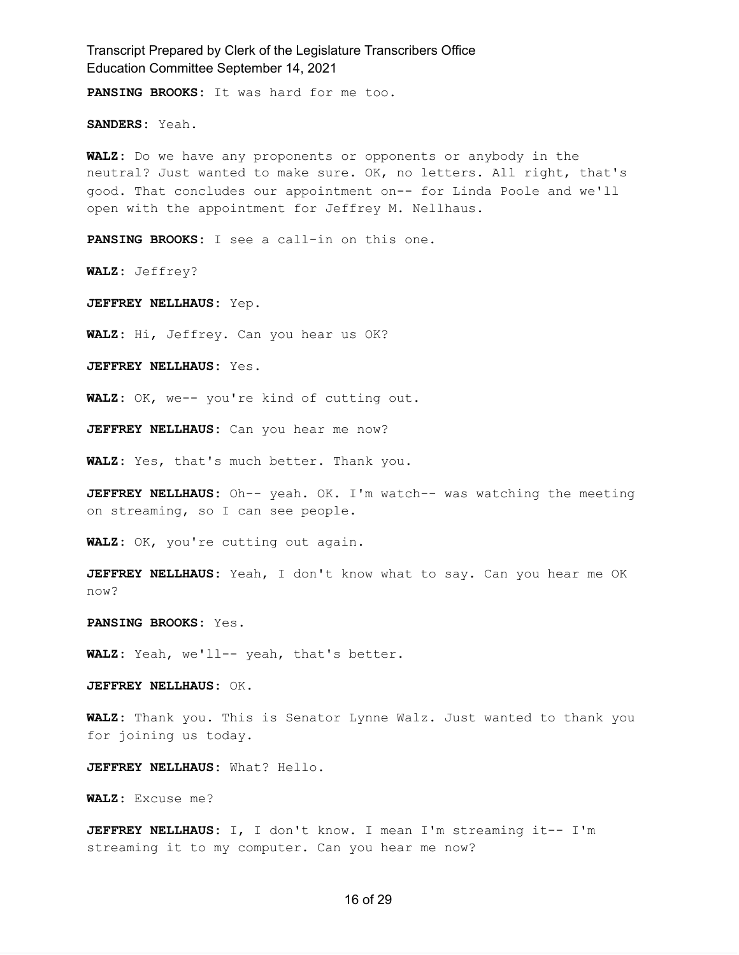Transcript Prepared by Clerk of the Legislature Transcribers Office Education Committee September 14, 2021 **PANSING BROOKS:** It was hard for me too. **SANDERS:** Yeah. **WALZ:** Do we have any proponents or opponents or anybody in the neutral? Just wanted to make sure. OK, no letters. All right, that's good. That concludes our appointment on-- for Linda Poole and we'll open with the appointment for Jeffrey M. Nellhaus. **PANSING BROOKS:** I see a call-in on this one. **WALZ:** Jeffrey? **JEFFREY NELLHAUS:** Yep. **WALZ:** Hi, Jeffrey. Can you hear us OK? **JEFFREY NELLHAUS:** Yes. **WALZ:** OK, we-- you're kind of cutting out. **JEFFREY NELLHAUS:** Can you hear me now? **WALZ:** Yes, that's much better. Thank you. **JEFFREY NELLHAUS:** Oh-- yeah. OK. I'm watch-- was watching the meeting on streaming, so I can see people. **WALZ:** OK, you're cutting out again. **JEFFREY NELLHAUS:** Yeah, I don't know what to say. Can you hear me OK now? **PANSING BROOKS:** Yes. **WALZ:** Yeah, we'll-- yeah, that's better. **JEFFREY NELLHAUS:** OK. **WALZ:** Thank you. This is Senator Lynne Walz. Just wanted to thank you for joining us today. **JEFFREY NELLHAUS:** What? Hello. **WALZ:** Excuse me? **JEFFREY NELLHAUS:** I, I don't know. I mean I'm streaming it-- I'm

16 of 29

streaming it to my computer. Can you hear me now?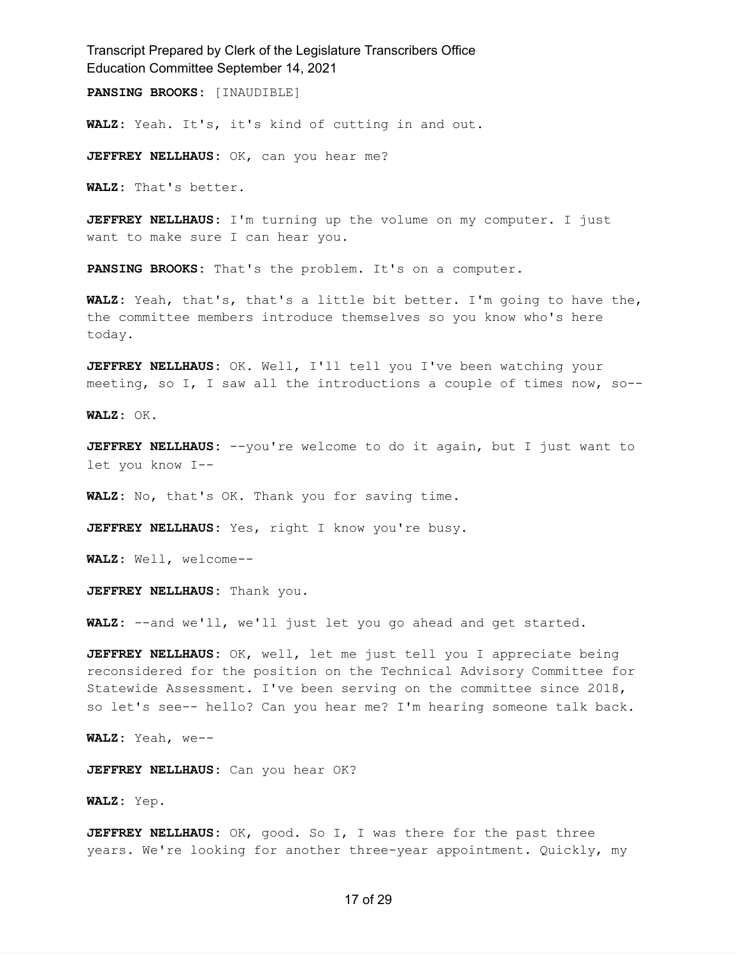**PANSING BROOKS:** [INAUDIBLE]

**WALZ:** Yeah. It's, it's kind of cutting in and out.

**JEFFREY NELLHAUS:** OK, can you hear me?

**WALZ:** That's better.

**JEFFREY NELLHAUS:** I'm turning up the volume on my computer. I just want to make sure I can hear you.

**PANSING BROOKS:** That's the problem. It's on a computer.

**WALZ:** Yeah, that's, that's a little bit better. I'm going to have the, the committee members introduce themselves so you know who's here today.

**JEFFREY NELLHAUS:** OK. Well, I'll tell you I've been watching your meeting, so I, I saw all the introductions a couple of times now, so--

**WALZ:** OK.

**JEFFREY NELLHAUS:** --you're welcome to do it again, but I just want to let you know I--

**WALZ:** No, that's OK. Thank you for saving time.

**JEFFREY NELLHAUS:** Yes, right I know you're busy.

**WALZ:** Well, welcome--

**JEFFREY NELLHAUS:** Thank you.

**WALZ:** --and we'll, we'll just let you go ahead and get started.

**JEFFREY NELLHAUS:** OK, well, let me just tell you I appreciate being reconsidered for the position on the Technical Advisory Committee for Statewide Assessment. I've been serving on the committee since 2018, so let's see-- hello? Can you hear me? I'm hearing someone talk back.

**WALZ:** Yeah, we--

**JEFFREY NELLHAUS:** Can you hear OK?

**WALZ:** Yep.

**JEFFREY NELLHAUS:** OK, good. So I, I was there for the past three years. We're looking for another three-year appointment. Quickly, my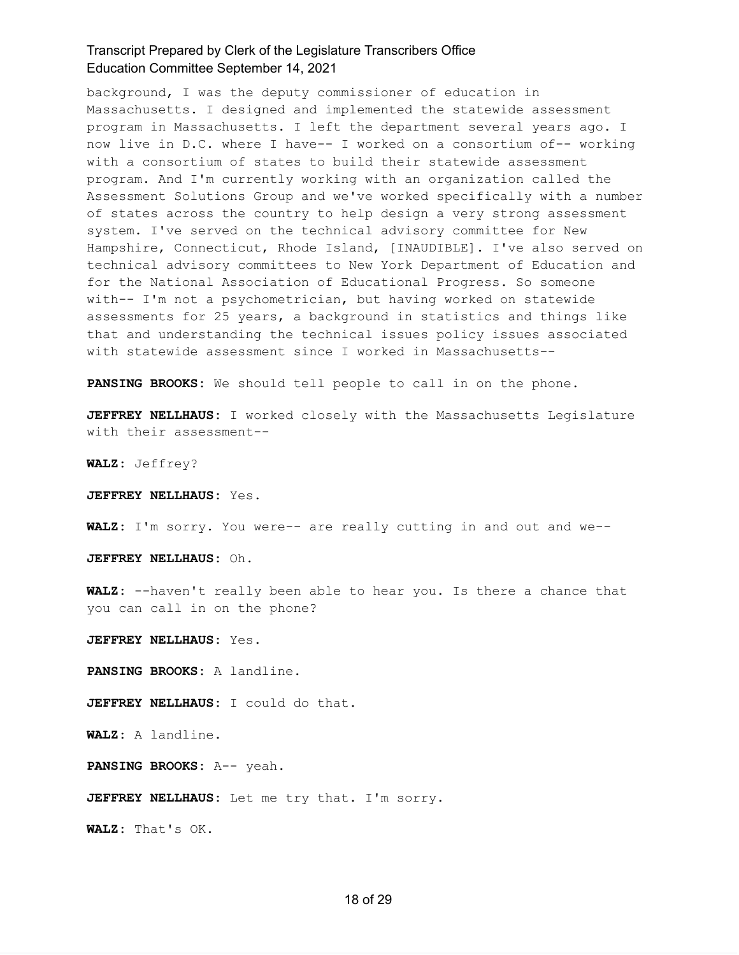background, I was the deputy commissioner of education in Massachusetts. I designed and implemented the statewide assessment program in Massachusetts. I left the department several years ago. I now live in D.C. where I have-- I worked on a consortium of-- working with a consortium of states to build their statewide assessment program. And I'm currently working with an organization called the Assessment Solutions Group and we've worked specifically with a number of states across the country to help design a very strong assessment system. I've served on the technical advisory committee for New Hampshire, Connecticut, Rhode Island, [INAUDIBLE]. I've also served on technical advisory committees to New York Department of Education and for the National Association of Educational Progress. So someone with-- I'm not a psychometrician, but having worked on statewide assessments for 25 years, a background in statistics and things like that and understanding the technical issues policy issues associated with statewide assessment since I worked in Massachusetts--

**PANSING BROOKS:** We should tell people to call in on the phone.

**JEFFREY NELLHAUS:** I worked closely with the Massachusetts Legislature with their assessment--

**WALZ:** Jeffrey?

**JEFFREY NELLHAUS:** Yes.

**WALZ:** I'm sorry. You were-- are really cutting in and out and we--

**JEFFREY NELLHAUS:** Oh.

**WALZ:** --haven't really been able to hear you. Is there a chance that you can call in on the phone?

**JEFFREY NELLHAUS:** Yes.

**PANSING BROOKS:** A landline.

**JEFFREY NELLHAUS:** I could do that.

**WALZ:** A landline.

**PANSING BROOKS:** A-- yeah.

**JEFFREY NELLHAUS:** Let me try that. I'm sorry.

**WALZ:** That's OK.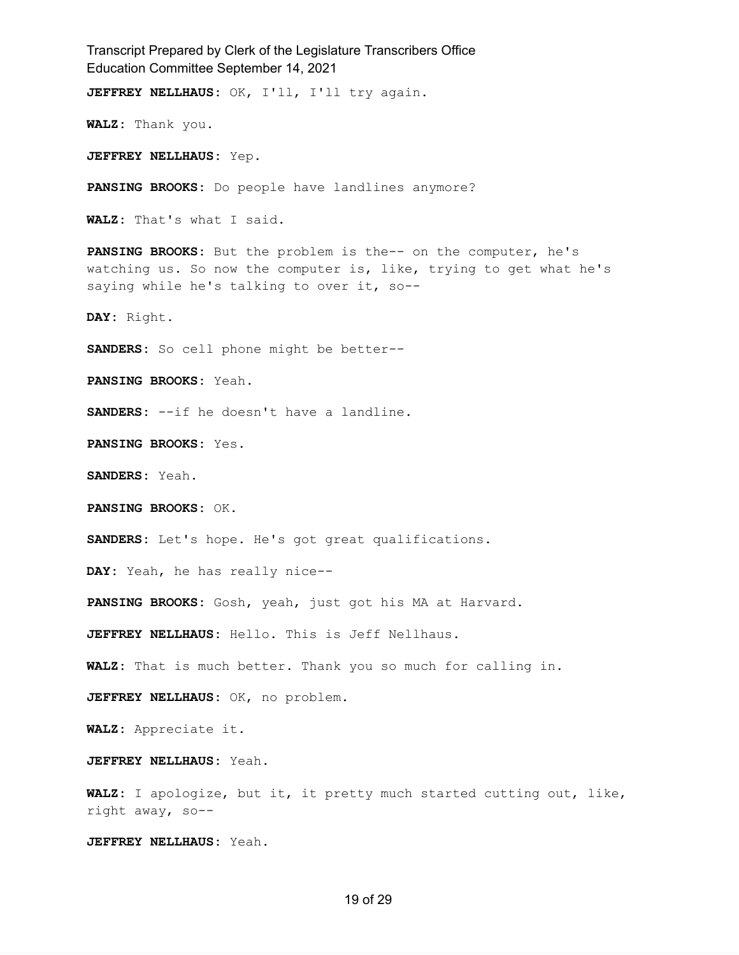Transcript Prepared by Clerk of the Legislature Transcribers Office Education Committee September 14, 2021 **JEFFREY NELLHAUS:** OK, I'll, I'll try again. **WALZ:** Thank you. **JEFFREY NELLHAUS:** Yep. **PANSING BROOKS:** Do people have landlines anymore? **WALZ:** That's what I said. **PANSING BROOKS:** But the problem is the-- on the computer, he's watching us. So now the computer is, like, trying to get what he's saying while he's talking to over it, so--**DAY:** Right. **SANDERS:** So cell phone might be better-- **PANSING BROOKS:** Yeah. **SANDERS:** --if he doesn't have a landline. **PANSING BROOKS:** Yes. **SANDERS:** Yeah. **PANSING BROOKS:** OK. **SANDERS:** Let's hope. He's got great qualifications. **DAY:** Yeah, he has really nice-- **PANSING BROOKS:** Gosh, yeah, just got his MA at Harvard. **JEFFREY NELLHAUS:** Hello. This is Jeff Nellhaus. **WALZ:** That is much better. Thank you so much for calling in. **JEFFREY NELLHAUS:** OK, no problem. **WALZ:** Appreciate it. **JEFFREY NELLHAUS:** Yeah. **WALZ:** I apologize, but it, it pretty much started cutting out, like, right away, so-- **JEFFREY NELLHAUS:** Yeah.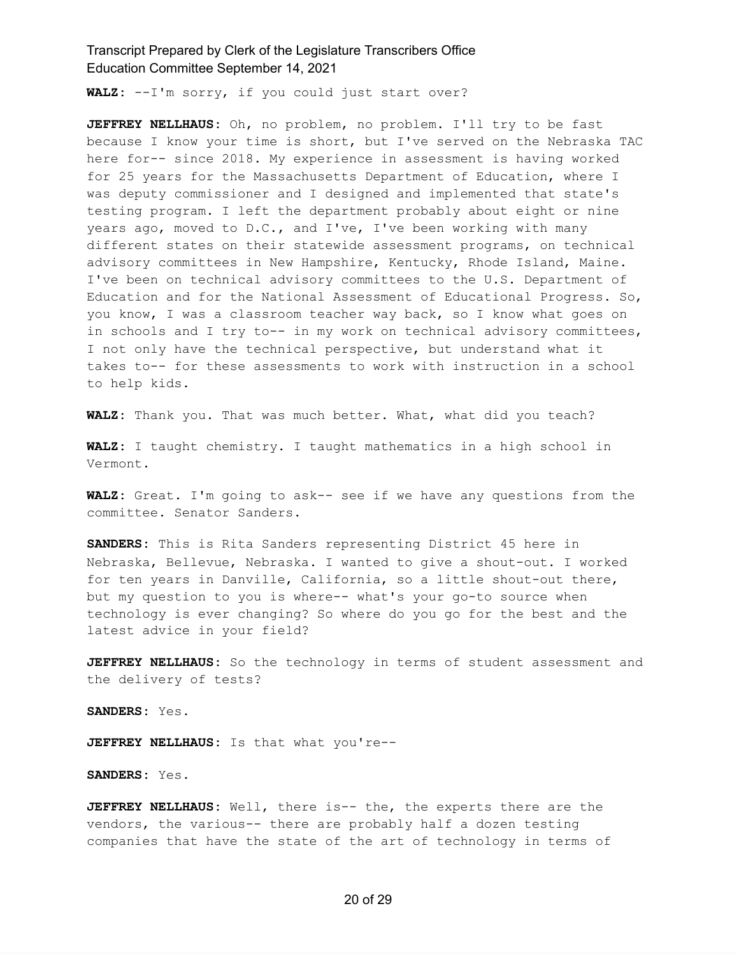**WALZ:** --I'm sorry, if you could just start over?

**JEFFREY NELLHAUS:** Oh, no problem, no problem. I'll try to be fast because I know your time is short, but I've served on the Nebraska TAC here for-- since 2018. My experience in assessment is having worked for 25 years for the Massachusetts Department of Education, where I was deputy commissioner and I designed and implemented that state's testing program. I left the department probably about eight or nine years ago, moved to D.C., and I've, I've been working with many different states on their statewide assessment programs, on technical advisory committees in New Hampshire, Kentucky, Rhode Island, Maine. I've been on technical advisory committees to the U.S. Department of Education and for the National Assessment of Educational Progress. So, you know, I was a classroom teacher way back, so I know what goes on in schools and I try to-- in my work on technical advisory committees, I not only have the technical perspective, but understand what it takes to-- for these assessments to work with instruction in a school to help kids.

**WALZ:** Thank you. That was much better. What, what did you teach?

**WALZ:** I taught chemistry. I taught mathematics in a high school in Vermont.

**WALZ:** Great. I'm going to ask-- see if we have any questions from the committee. Senator Sanders.

**SANDERS:** This is Rita Sanders representing District 45 here in Nebraska, Bellevue, Nebraska. I wanted to give a shout-out. I worked for ten years in Danville, California, so a little shout-out there, but my question to you is where-- what's your go-to source when technology is ever changing? So where do you go for the best and the latest advice in your field?

**JEFFREY NELLHAUS:** So the technology in terms of student assessment and the delivery of tests?

**SANDERS:** Yes.

**JEFFREY NELLHAUS:** Is that what you're--

**SANDERS:** Yes.

**JEFFREY NELLHAUS:** Well, there is-- the, the experts there are the vendors, the various-- there are probably half a dozen testing companies that have the state of the art of technology in terms of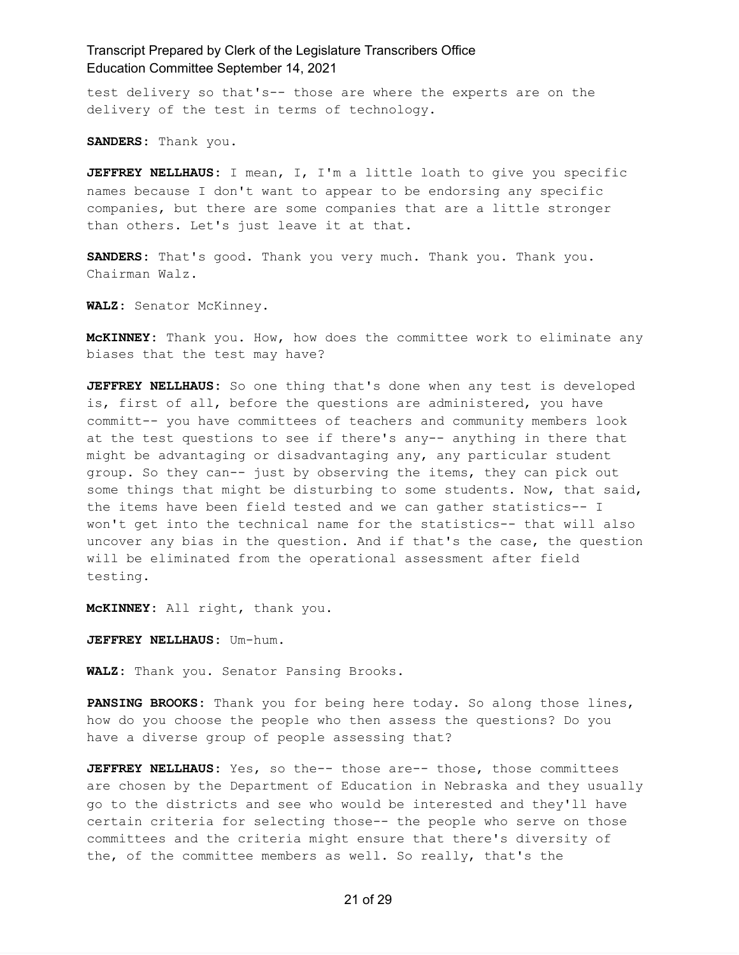test delivery so that's-- those are where the experts are on the delivery of the test in terms of technology.

**SANDERS:** Thank you.

**JEFFREY NELLHAUS:** I mean, I, I'm a little loath to give you specific names because I don't want to appear to be endorsing any specific companies, but there are some companies that are a little stronger than others. Let's just leave it at that.

**SANDERS:** That's good. Thank you very much. Thank you. Thank you. Chairman Walz.

**WALZ:** Senator McKinney.

**McKINNEY:** Thank you. How, how does the committee work to eliminate any biases that the test may have?

**JEFFREY NELLHAUS:** So one thing that's done when any test is developed is, first of all, before the questions are administered, you have committ-- you have committees of teachers and community members look at the test questions to see if there's any-- anything in there that might be advantaging or disadvantaging any, any particular student group. So they can-- just by observing the items, they can pick out some things that might be disturbing to some students. Now, that said, the items have been field tested and we can gather statistics-- I won't get into the technical name for the statistics-- that will also uncover any bias in the question. And if that's the case, the question will be eliminated from the operational assessment after field testing.

**McKINNEY:** All right, thank you.

**JEFFREY NELLHAUS:** Um-hum.

**WALZ:** Thank you. Senator Pansing Brooks.

**PANSING BROOKS:** Thank you for being here today. So along those lines, how do you choose the people who then assess the questions? Do you have a diverse group of people assessing that?

**JEFFREY NELLHAUS:** Yes, so the-- those are-- those, those committees are chosen by the Department of Education in Nebraska and they usually go to the districts and see who would be interested and they'll have certain criteria for selecting those-- the people who serve on those committees and the criteria might ensure that there's diversity of the, of the committee members as well. So really, that's the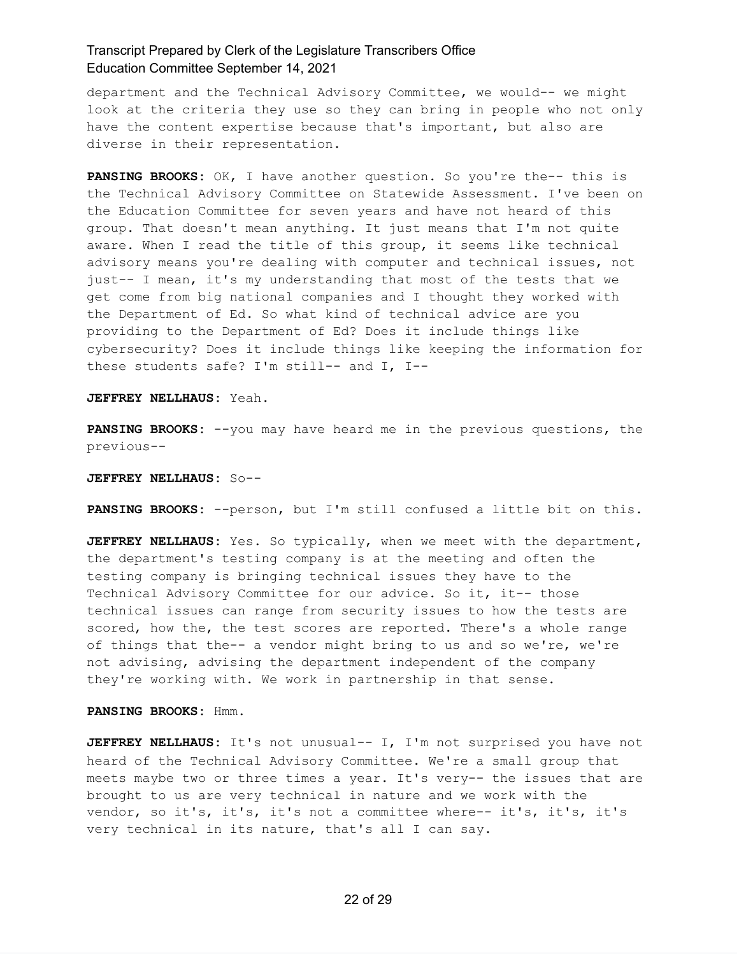department and the Technical Advisory Committee, we would-- we might look at the criteria they use so they can bring in people who not only have the content expertise because that's important, but also are diverse in their representation.

**PANSING BROOKS:** OK, I have another question. So you're the-- this is the Technical Advisory Committee on Statewide Assessment. I've been on the Education Committee for seven years and have not heard of this group. That doesn't mean anything. It just means that I'm not quite aware. When I read the title of this group, it seems like technical advisory means you're dealing with computer and technical issues, not just-- I mean, it's my understanding that most of the tests that we get come from big national companies and I thought they worked with the Department of Ed. So what kind of technical advice are you providing to the Department of Ed? Does it include things like cybersecurity? Does it include things like keeping the information for these students safe? I'm still-- and I, I--

**JEFFREY NELLHAUS:** Yeah.

**PANSING BROOKS:** --you may have heard me in the previous questions, the previous--

**JEFFREY NELLHAUS:** So--

**PANSING BROOKS:** --person, but I'm still confused a little bit on this.

**JEFFREY NELLHAUS:** Yes. So typically, when we meet with the department, the department's testing company is at the meeting and often the testing company is bringing technical issues they have to the Technical Advisory Committee for our advice. So it, it-- those technical issues can range from security issues to how the tests are scored, how the, the test scores are reported. There's a whole range of things that the-- a vendor might bring to us and so we're, we're not advising, advising the department independent of the company they're working with. We work in partnership in that sense.

**PANSING BROOKS:** Hmm.

**JEFFREY NELLHAUS:** It's not unusual-- I, I'm not surprised you have not heard of the Technical Advisory Committee. We're a small group that meets maybe two or three times a year. It's very-- the issues that are brought to us are very technical in nature and we work with the vendor, so it's, it's, it's not a committee where-- it's, it's, it's very technical in its nature, that's all I can say.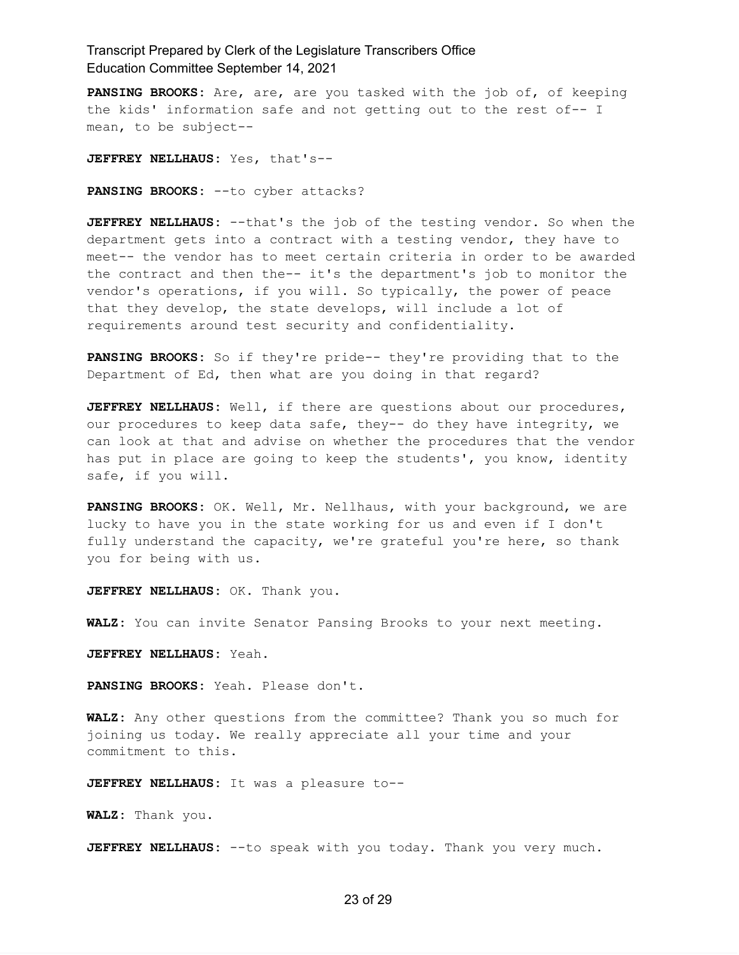**PANSING BROOKS:** Are, are, are you tasked with the job of, of keeping the kids' information safe and not getting out to the rest of-- I mean, to be subject--

**JEFFREY NELLHAUS:** Yes, that's--

**PANSING BROOKS:** --to cyber attacks?

**JEFFREY NELLHAUS:** --that's the job of the testing vendor. So when the department gets into a contract with a testing vendor, they have to meet-- the vendor has to meet certain criteria in order to be awarded the contract and then the-- it's the department's job to monitor the vendor's operations, if you will. So typically, the power of peace that they develop, the state develops, will include a lot of requirements around test security and confidentiality.

**PANSING BROOKS:** So if they're pride-- they're providing that to the Department of Ed, then what are you doing in that regard?

**JEFFREY NELLHAUS:** Well, if there are questions about our procedures, our procedures to keep data safe, they-- do they have integrity, we can look at that and advise on whether the procedures that the vendor has put in place are going to keep the students', you know, identity safe, if you will.

**PANSING BROOKS:** OK. Well, Mr. Nellhaus, with your background, we are lucky to have you in the state working for us and even if I don't fully understand the capacity, we're grateful you're here, so thank you for being with us.

**JEFFREY NELLHAUS:** OK. Thank you.

**WALZ:** You can invite Senator Pansing Brooks to your next meeting.

**JEFFREY NELLHAUS:** Yeah.

**PANSING BROOKS:** Yeah. Please don't.

**WALZ:** Any other questions from the committee? Thank you so much for joining us today. We really appreciate all your time and your commitment to this.

**JEFFREY NELLHAUS:** It was a pleasure to--

**WALZ:** Thank you.

**JEFFREY NELLHAUS:** --to speak with you today. Thank you very much.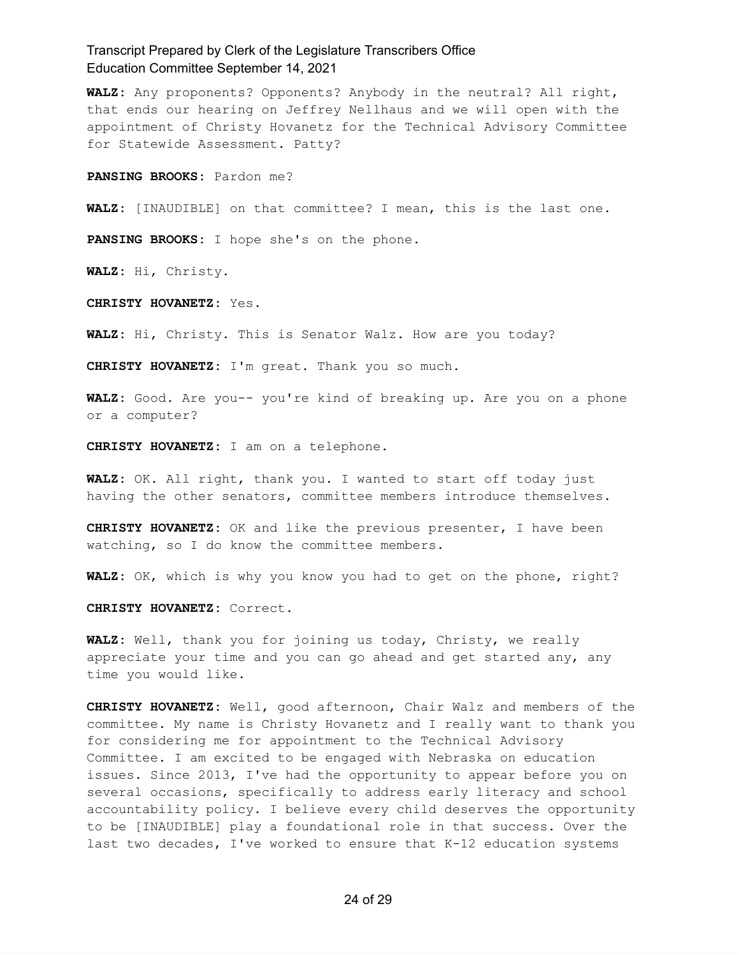**WALZ:** Any proponents? Opponents? Anybody in the neutral? All right, that ends our hearing on Jeffrey Nellhaus and we will open with the appointment of Christy Hovanetz for the Technical Advisory Committee for Statewide Assessment. Patty?

**PANSING BROOKS:** Pardon me?

**WALZ:** [INAUDIBLE] on that committee? I mean, this is the last one.

**PANSING BROOKS:** I hope she's on the phone.

**WALZ:** Hi, Christy.

**CHRISTY HOVANETZ:** Yes.

**WALZ:** Hi, Christy. This is Senator Walz. How are you today?

**CHRISTY HOVANETZ:** I'm great. Thank you so much.

**WALZ:** Good. Are you-- you're kind of breaking up. Are you on a phone or a computer?

**CHRISTY HOVANETZ:** I am on a telephone.

**WALZ:** OK. All right, thank you. I wanted to start off today just having the other senators, committee members introduce themselves.

**CHRISTY HOVANETZ:** OK and like the previous presenter, I have been watching, so I do know the committee members.

**WALZ:** OK, which is why you know you had to get on the phone, right?

**CHRISTY HOVANETZ:** Correct.

**WALZ:** Well, thank you for joining us today, Christy, we really appreciate your time and you can go ahead and get started any, any time you would like.

**CHRISTY HOVANETZ:** Well, good afternoon, Chair Walz and members of the committee. My name is Christy Hovanetz and I really want to thank you for considering me for appointment to the Technical Advisory Committee. I am excited to be engaged with Nebraska on education issues. Since 2013, I've had the opportunity to appear before you on several occasions, specifically to address early literacy and school accountability policy. I believe every child deserves the opportunity to be [INAUDIBLE] play a foundational role in that success. Over the last two decades, I've worked to ensure that K-12 education systems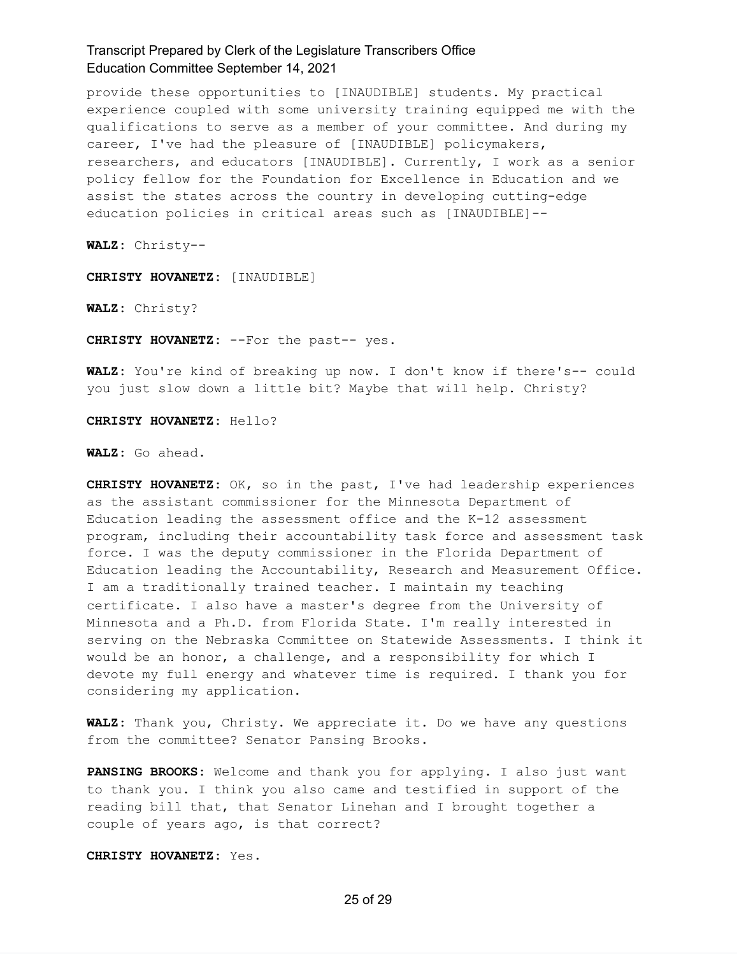provide these opportunities to [INAUDIBLE] students. My practical experience coupled with some university training equipped me with the qualifications to serve as a member of your committee. And during my career, I've had the pleasure of [INAUDIBLE] policymakers, researchers, and educators [INAUDIBLE]. Currently, I work as a senior policy fellow for the Foundation for Excellence in Education and we assist the states across the country in developing cutting-edge education policies in critical areas such as [INAUDIBLE]--

**WALZ:** Christy--

**CHRISTY HOVANETZ:** [INAUDIBLE]

**WALZ:** Christy?

**CHRISTY HOVANETZ:** --For the past-- yes.

**WALZ:** You're kind of breaking up now. I don't know if there's-- could you just slow down a little bit? Maybe that will help. Christy?

**CHRISTY HOVANETZ:** Hello?

**WALZ:** Go ahead.

**CHRISTY HOVANETZ:** OK, so in the past, I've had leadership experiences as the assistant commissioner for the Minnesota Department of Education leading the assessment office and the K-12 assessment program, including their accountability task force and assessment task force. I was the deputy commissioner in the Florida Department of Education leading the Accountability, Research and Measurement Office. I am a traditionally trained teacher. I maintain my teaching certificate. I also have a master's degree from the University of Minnesota and a Ph.D. from Florida State. I'm really interested in serving on the Nebraska Committee on Statewide Assessments. I think it would be an honor, a challenge, and a responsibility for which I devote my full energy and whatever time is required. I thank you for considering my application.

**WALZ:** Thank you, Christy. We appreciate it. Do we have any questions from the committee? Senator Pansing Brooks.

**PANSING BROOKS:** Welcome and thank you for applying. I also just want to thank you. I think you also came and testified in support of the reading bill that, that Senator Linehan and I brought together a couple of years ago, is that correct?

**CHRISTY HOVANETZ:** Yes.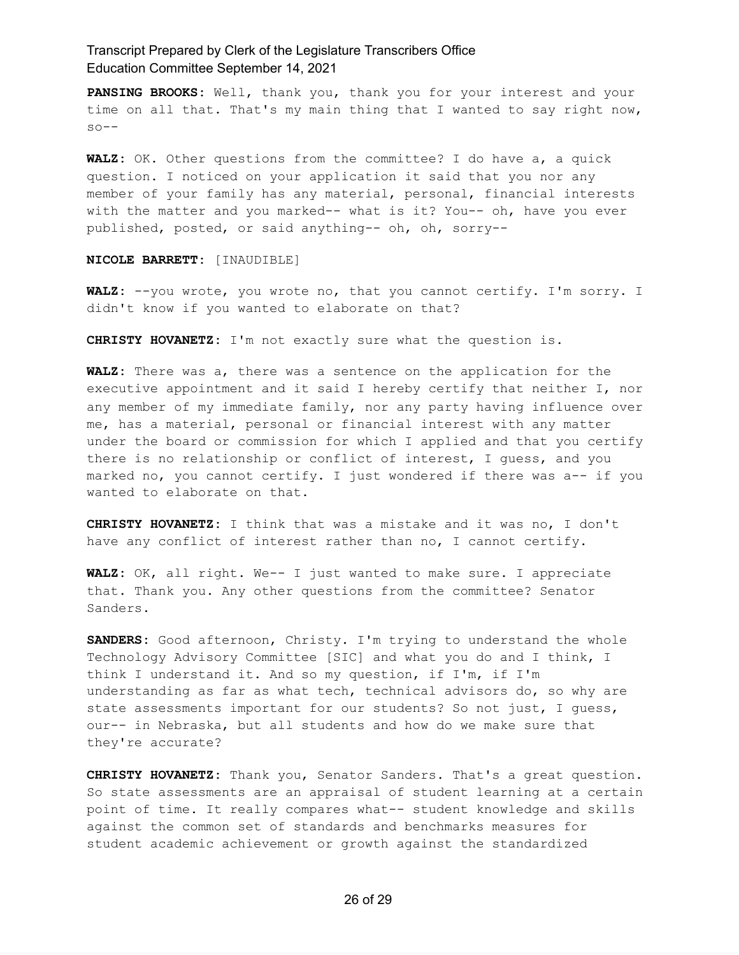**PANSING BROOKS:** Well, thank you, thank you for your interest and your time on all that. That's my main thing that I wanted to say right now,  $so--$ 

**WALZ:** OK. Other questions from the committee? I do have a, a quick question. I noticed on your application it said that you nor any member of your family has any material, personal, financial interests with the matter and you marked-- what is it? You-- oh, have you ever published, posted, or said anything-- oh, oh, sorry--

#### **NICOLE BARRETT:** [INAUDIBLE]

**WALZ:** --you wrote, you wrote no, that you cannot certify. I'm sorry. I didn't know if you wanted to elaborate on that?

**CHRISTY HOVANETZ:** I'm not exactly sure what the question is.

**WALZ:** There was a, there was a sentence on the application for the executive appointment and it said I hereby certify that neither I, nor any member of my immediate family, nor any party having influence over me, has a material, personal or financial interest with any matter under the board or commission for which I applied and that you certify there is no relationship or conflict of interest, I guess, and you marked no, you cannot certify. I just wondered if there was a-- if you wanted to elaborate on that.

**CHRISTY HOVANETZ:** I think that was a mistake and it was no, I don't have any conflict of interest rather than no, I cannot certify.

**WALZ:** OK, all right. We-- I just wanted to make sure. I appreciate that. Thank you. Any other questions from the committee? Senator Sanders.

**SANDERS:** Good afternoon, Christy. I'm trying to understand the whole Technology Advisory Committee [SIC] and what you do and I think, I think I understand it. And so my question, if I'm, if I'm understanding as far as what tech, technical advisors do, so why are state assessments important for our students? So not just, I guess, our-- in Nebraska, but all students and how do we make sure that they're accurate?

**CHRISTY HOVANETZ:** Thank you, Senator Sanders. That's a great question. So state assessments are an appraisal of student learning at a certain point of time. It really compares what-- student knowledge and skills against the common set of standards and benchmarks measures for student academic achievement or growth against the standardized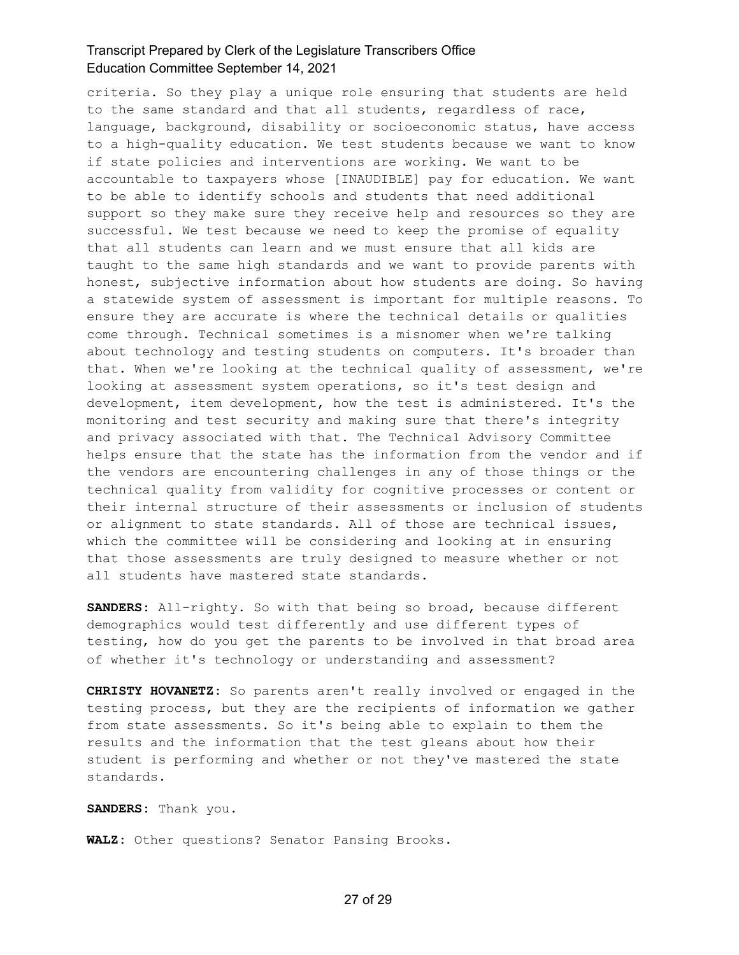criteria. So they play a unique role ensuring that students are held to the same standard and that all students, regardless of race, language, background, disability or socioeconomic status, have access to a high-quality education. We test students because we want to know if state policies and interventions are working. We want to be accountable to taxpayers whose [INAUDIBLE] pay for education. We want to be able to identify schools and students that need additional support so they make sure they receive help and resources so they are successful. We test because we need to keep the promise of equality that all students can learn and we must ensure that all kids are taught to the same high standards and we want to provide parents with honest, subjective information about how students are doing. So having a statewide system of assessment is important for multiple reasons. To ensure they are accurate is where the technical details or qualities come through. Technical sometimes is a misnomer when we're talking about technology and testing students on computers. It's broader than that. When we're looking at the technical quality of assessment, we're looking at assessment system operations, so it's test design and development, item development, how the test is administered. It's the monitoring and test security and making sure that there's integrity and privacy associated with that. The Technical Advisory Committee helps ensure that the state has the information from the vendor and if the vendors are encountering challenges in any of those things or the technical quality from validity for cognitive processes or content or their internal structure of their assessments or inclusion of students or alignment to state standards. All of those are technical issues, which the committee will be considering and looking at in ensuring that those assessments are truly designed to measure whether or not all students have mastered state standards.

**SANDERS:** All-righty. So with that being so broad, because different demographics would test differently and use different types of testing, how do you get the parents to be involved in that broad area of whether it's technology or understanding and assessment?

**CHRISTY HOVANETZ:** So parents aren't really involved or engaged in the testing process, but they are the recipients of information we gather from state assessments. So it's being able to explain to them the results and the information that the test gleans about how their student is performing and whether or not they've mastered the state standards.

**SANDERS:** Thank you.

**WALZ:** Other questions? Senator Pansing Brooks.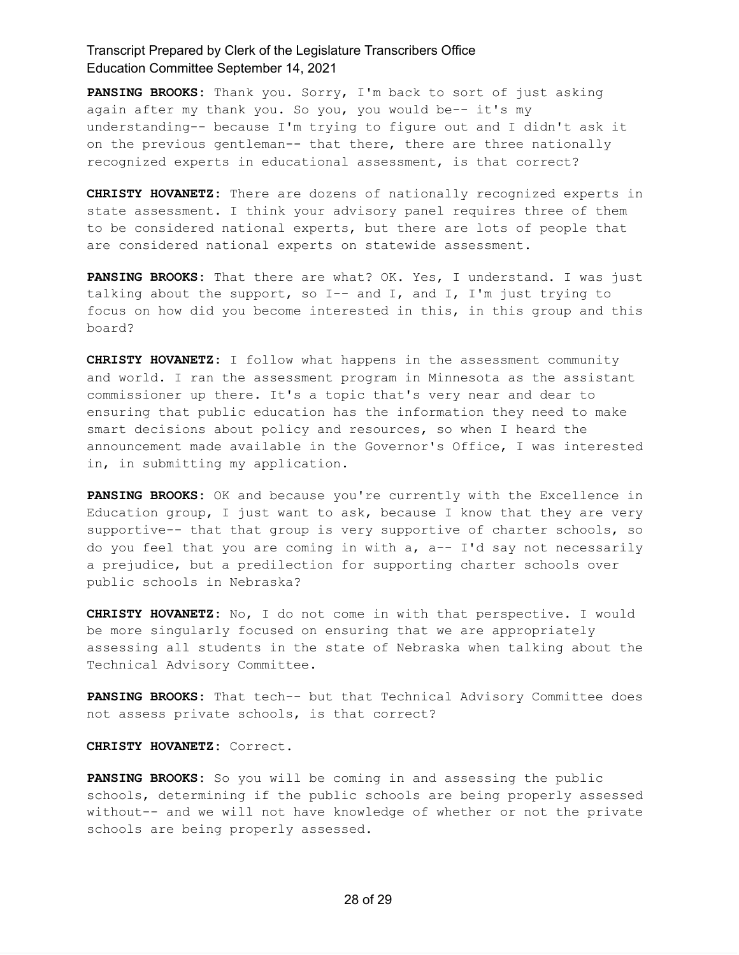**PANSING BROOKS:** Thank you. Sorry, I'm back to sort of just asking again after my thank you. So you, you would be-- it's my understanding-- because I'm trying to figure out and I didn't ask it on the previous gentleman-- that there, there are three nationally recognized experts in educational assessment, is that correct?

**CHRISTY HOVANETZ:** There are dozens of nationally recognized experts in state assessment. I think your advisory panel requires three of them to be considered national experts, but there are lots of people that are considered national experts on statewide assessment.

**PANSING BROOKS:** That there are what? OK. Yes, I understand. I was just talking about the support, so I-- and I, and I, I'm just trying to focus on how did you become interested in this, in this group and this board?

**CHRISTY HOVANETZ:** I follow what happens in the assessment community and world. I ran the assessment program in Minnesota as the assistant commissioner up there. It's a topic that's very near and dear to ensuring that public education has the information they need to make smart decisions about policy and resources, so when I heard the announcement made available in the Governor's Office, I was interested in, in submitting my application.

**PANSING BROOKS:** OK and because you're currently with the Excellence in Education group, I just want to ask, because I know that they are very supportive-- that that group is very supportive of charter schools, so do you feel that you are coming in with a, a-- I'd say not necessarily a prejudice, but a predilection for supporting charter schools over public schools in Nebraska?

**CHRISTY HOVANETZ:** No, I do not come in with that perspective. I would be more singularly focused on ensuring that we are appropriately assessing all students in the state of Nebraska when talking about the Technical Advisory Committee.

**PANSING BROOKS:** That tech-- but that Technical Advisory Committee does not assess private schools, is that correct?

**CHRISTY HOVANETZ:** Correct.

**PANSING BROOKS:** So you will be coming in and assessing the public schools, determining if the public schools are being properly assessed without-- and we will not have knowledge of whether or not the private schools are being properly assessed.